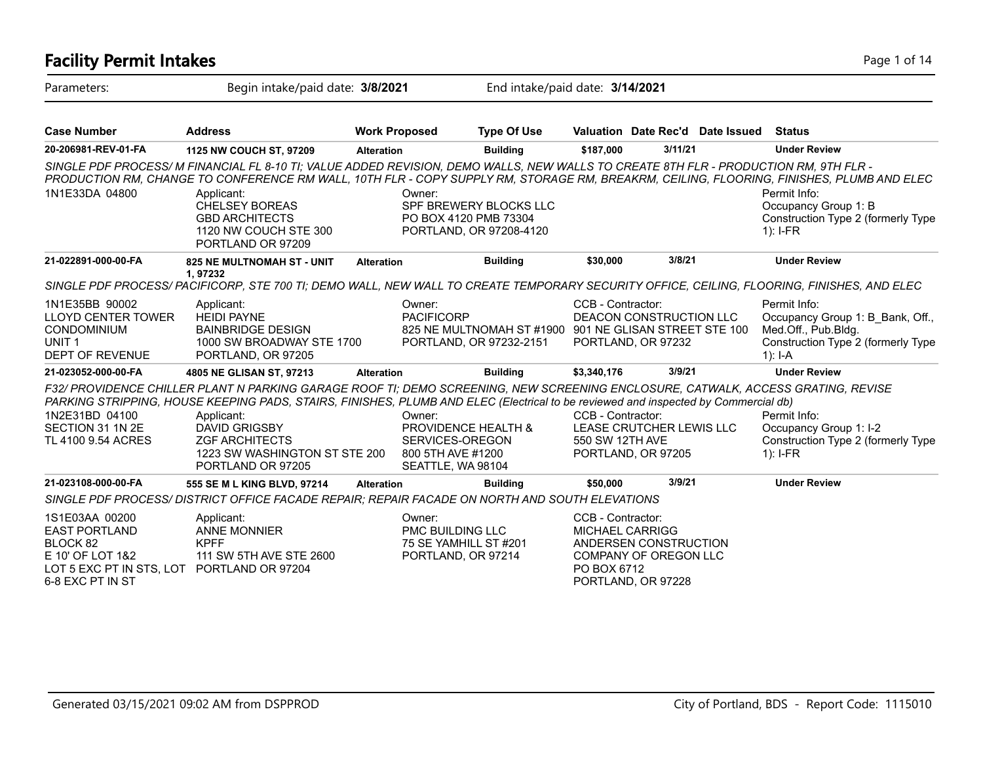| <b>Facility Permit Intakes</b>                                                                                                           |                                                                                                                                                                                                                                                                                                                                                                                             |                      |                                                                                            |                                                                                   |                                                                                                                                    |         |                                  | Page 1 of 14                                                                                                                                                                                                                         |
|------------------------------------------------------------------------------------------------------------------------------------------|---------------------------------------------------------------------------------------------------------------------------------------------------------------------------------------------------------------------------------------------------------------------------------------------------------------------------------------------------------------------------------------------|----------------------|--------------------------------------------------------------------------------------------|-----------------------------------------------------------------------------------|------------------------------------------------------------------------------------------------------------------------------------|---------|----------------------------------|--------------------------------------------------------------------------------------------------------------------------------------------------------------------------------------------------------------------------------------|
| Parameters:                                                                                                                              | Begin intake/paid date: 3/8/2021                                                                                                                                                                                                                                                                                                                                                            |                      |                                                                                            | End intake/paid date: 3/14/2021                                                   |                                                                                                                                    |         |                                  |                                                                                                                                                                                                                                      |
| <b>Case Number</b>                                                                                                                       | <b>Address</b>                                                                                                                                                                                                                                                                                                                                                                              | <b>Work Proposed</b> |                                                                                            | <b>Type Of Use</b>                                                                |                                                                                                                                    |         | Valuation Date Rec'd Date Issued | <b>Status</b>                                                                                                                                                                                                                        |
| 20-206981-REV-01-FA                                                                                                                      | 1125 NW COUCH ST, 97209                                                                                                                                                                                                                                                                                                                                                                     | <b>Alteration</b>    |                                                                                            | <b>Building</b>                                                                   | \$187,000                                                                                                                          | 3/11/21 |                                  | <b>Under Review</b>                                                                                                                                                                                                                  |
| 1N1E33DA 04800                                                                                                                           | SINGLE PDF PROCESS/M FINANCIAL FL 8-10 TI; VALUE ADDED REVISION, DEMO WALLS, NEW WALLS TO CREATE 8TH FLR - PRODUCTION RM, 9TH FLR -<br>Applicant:<br><b>CHELSEY BOREAS</b><br><b>GBD ARCHITECTS</b><br>1120 NW COUCH STE 300<br>PORTLAND OR 97209                                                                                                                                           |                      | Owner:<br>PO BOX 4120 PMB 73304                                                            | SPF BREWERY BLOCKS LLC<br>PORTLAND, OR 97208-4120                                 |                                                                                                                                    |         |                                  | PRODUCTION RM, CHANGE TO CONFERENCE RM WALL, 10TH FLR - COPY SUPPLY RM, STORAGE RM, BREAKRM, CEILING, FLOORING, FINISHES, PLUMB AND ELEC<br>Permit Info:<br>Occupancy Group 1: B<br>Construction Type 2 (formerly Type<br>$1$ : I-FR |
| 21-022891-000-00-FA                                                                                                                      | 825 NE MULTNOMAH ST - UNIT                                                                                                                                                                                                                                                                                                                                                                  | <b>Alteration</b>    |                                                                                            | <b>Building</b>                                                                   | \$30,000                                                                                                                           |         | 3/8/21                           | <b>Under Review</b>                                                                                                                                                                                                                  |
|                                                                                                                                          | 1,97232<br>SINGLE PDF PROCESS/PACIFICORP, STE 700 TI; DEMO WALL, NEW WALL TO CREATE TEMPORARY SECURITY OFFICE, CEILING, FLOORING, FINISHES, AND ELEC                                                                                                                                                                                                                                        |                      |                                                                                            |                                                                                   |                                                                                                                                    |         |                                  |                                                                                                                                                                                                                                      |
| 1N1E35BB 90002<br><b>LLOYD CENTER TOWER</b><br><b>CONDOMINIUM</b><br>UNIT <sub>1</sub><br>DEPT OF REVENUE                                | Applicant:<br><b>HEIDI PAYNE</b><br><b>BAINBRIDGE DESIGN</b><br>1000 SW BROADWAY STE 1700<br>PORTLAND, OR 97205                                                                                                                                                                                                                                                                             |                      | Owner:<br><b>PACIFICORP</b>                                                                | 825 NE MULTNOMAH ST #1900 901 NE GLISAN STREET STE 100<br>PORTLAND, OR 97232-2151 | CCB - Contractor:<br>PORTLAND, OR 97232                                                                                            |         | DEACON CONSTRUCTION LLC          | Permit Info:<br>Occupancy Group 1: B Bank, Off.,<br>Med.Off., Pub.Bldg.<br>Construction Type 2 (formerly Type<br>1): $I-A$                                                                                                           |
| 21-023052-000-00-FA                                                                                                                      | 4805 NE GLISAN ST, 97213                                                                                                                                                                                                                                                                                                                                                                    | <b>Alteration</b>    |                                                                                            | <b>Building</b>                                                                   | \$3,340,176                                                                                                                        |         | 3/9/21                           | <b>Under Review</b>                                                                                                                                                                                                                  |
| 1N2E31BD 04100<br>SECTION 31 1N 2E<br>TL 4100 9.54 ACRES                                                                                 | F32/ PROVIDENCE CHILLER PLANT N PARKING GARAGE ROOF TI; DEMO SCREENING, NEW SCREENING ENCLOSURE, CATWALK, ACCESS GRATING, REVISE<br>PARKING STRIPPING, HOUSE KEEPING PADS, STAIRS, FINISHES, PLUMB AND ELEC (Electrical to be reviewed and inspected by Commercial db)<br>Applicant:<br><b>DAVID GRIGSBY</b><br><b>ZGF ARCHITECTS</b><br>1223 SW WASHINGTON ST STE 200<br>PORTLAND OR 97205 |                      | Owner:<br>PROVIDENCE HEALTH &<br>SERVICES-OREGON<br>800 5TH AVE #1200<br>SEATTLE, WA 98104 |                                                                                   | CCB - Contractor:<br>550 SW 12TH AVE<br>PORTLAND, OR 97205                                                                         |         | LEASE CRUTCHER LEWIS LLC         | Permit Info:<br>Occupancy Group 1: I-2<br>Construction Type 2 (formerly Type<br>$1$ : I-FR                                                                                                                                           |
| 21-023108-000-00-FA                                                                                                                      | 555 SE M L KING BLVD, 97214                                                                                                                                                                                                                                                                                                                                                                 | <b>Alteration</b>    |                                                                                            | <b>Building</b>                                                                   | \$50,000                                                                                                                           |         | 3/9/21                           | <b>Under Review</b>                                                                                                                                                                                                                  |
|                                                                                                                                          | SINGLE PDF PROCESS/ DISTRICT OFFICE FACADE REPAIR; REPAIR FACADE ON NORTH AND SOUTH ELEVATIONS                                                                                                                                                                                                                                                                                              |                      |                                                                                            |                                                                                   |                                                                                                                                    |         |                                  |                                                                                                                                                                                                                                      |
| 1S1E03AA 00200<br><b>EAST PORTLAND</b><br>BLOCK 82<br>E 10' OF LOT 1&2<br>LOT 5 EXC PT IN STS, LOT PORTLAND OR 97204<br>6-8 EXC PT IN ST | Applicant:<br><b>ANNE MONNIER</b><br><b>KPFF</b><br>111 SW 5TH AVE STE 2600                                                                                                                                                                                                                                                                                                                 |                      | Owner:<br><b>PMC BUILDING LLC</b><br>75 SE YAMHILL ST #201<br>PORTLAND, OR 97214           |                                                                                   | CCB - Contractor:<br>MICHAEL CARRIGG<br>ANDERSEN CONSTRUCTION<br><b>COMPANY OF OREGON LLC</b><br>PO BOX 6712<br>PORTLAND, OR 97228 |         |                                  |                                                                                                                                                                                                                                      |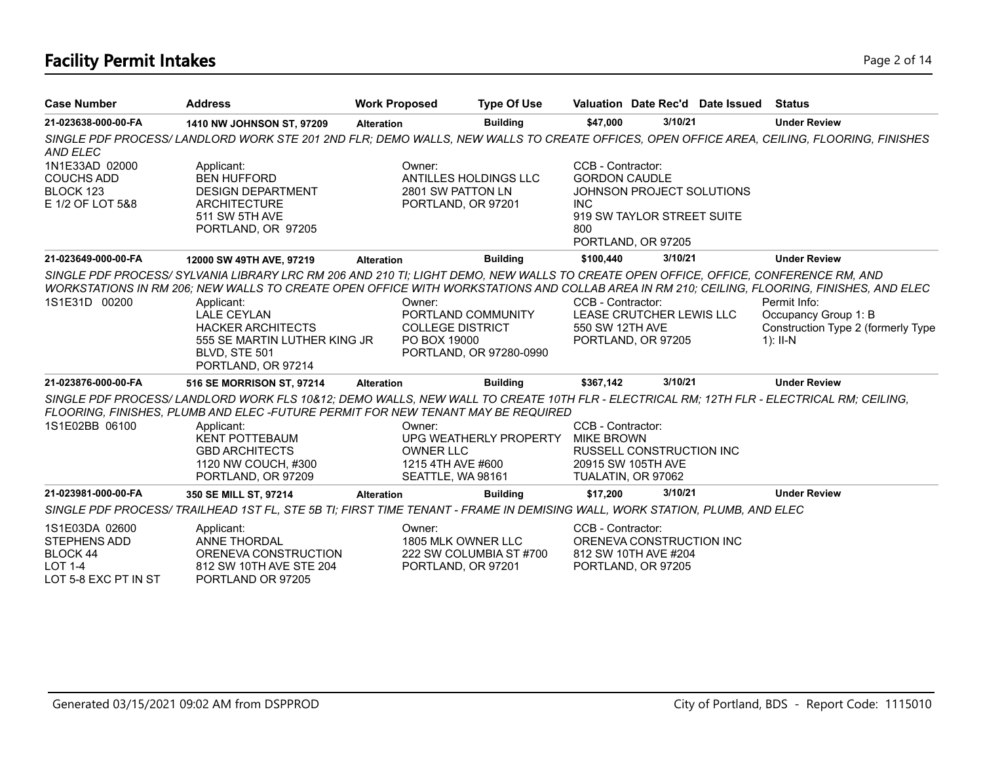## **Facility Permit Intakes** Page 2 of 14

| <b>Case Number</b>                                                                          | <b>Address</b>                                                                                                                                                                                                                                                                                                                                                                                                                                        | <b>Work Proposed</b>                                                   | <b>Type Of Use</b>                                                  |                                                                | Valuation Date Rec'd Date Issued Status                                       |                                                                                                                 |
|---------------------------------------------------------------------------------------------|-------------------------------------------------------------------------------------------------------------------------------------------------------------------------------------------------------------------------------------------------------------------------------------------------------------------------------------------------------------------------------------------------------------------------------------------------------|------------------------------------------------------------------------|---------------------------------------------------------------------|----------------------------------------------------------------|-------------------------------------------------------------------------------|-----------------------------------------------------------------------------------------------------------------|
| 21-023638-000-00-FA                                                                         | 1410 NW JOHNSON ST, 97209                                                                                                                                                                                                                                                                                                                                                                                                                             | <b>Alteration</b>                                                      | <b>Building</b>                                                     | \$47,000                                                       | 3/10/21                                                                       | <b>Under Review</b>                                                                                             |
| <b>AND ELEC</b>                                                                             | SINGLE PDF PROCESS/LANDLORD WORK STE 201 2ND FLR; DEMO WALLS, NEW WALLS TO CREATE OFFICES, OPEN OFFICE AREA, CEILING, FLOORING, FINISHES                                                                                                                                                                                                                                                                                                              |                                                                        |                                                                     |                                                                |                                                                               |                                                                                                                 |
| 1N1E33AD 02000<br><b>COUCHS ADD</b><br>BLOCK 123<br>E 1/2 OF LOT 5&8                        | Applicant:<br><b>BEN HUFFORD</b><br><b>DESIGN DEPARTMENT</b><br><b>ARCHITECTURE</b><br>511 SW 5TH AVE<br>PORTLAND, OR 97205                                                                                                                                                                                                                                                                                                                           | Owner:<br>2801 SW PATTON LN                                            | ANTILLES HOLDINGS LLC<br>PORTLAND, OR 97201                         | CCB - Contractor:<br><b>GORDON CAUDLE</b><br><b>INC</b><br>800 | JOHNSON PROJECT SOLUTIONS<br>919 SW TAYLOR STREET SUITE<br>PORTLAND, OR 97205 |                                                                                                                 |
| 21-023649-000-00-FA                                                                         | 12000 SW 49TH AVE, 97219                                                                                                                                                                                                                                                                                                                                                                                                                              | <b>Alteration</b>                                                      | <b>Building</b>                                                     | \$100,440                                                      | 3/10/21                                                                       | <b>Under Review</b>                                                                                             |
| 1S1E31D 00200<br>21-023876-000-00-FA                                                        | SINGLE PDF PROCESS/ SYLVANIA LIBRARY LRC RM 206 AND 210 TI; LIGHT DEMO, NEW WALLS TO CREATE OPEN OFFICE, OFFICE, CONFERENCE RM, AND<br>WORKSTATIONS IN RM 206; NEW WALLS TO CREATE OPEN OFFICE WITH WORKSTATIONS AND COLLAB AREA IN RM 210; CEILING, FLOORING, FINISHES, AND ELEC<br>Applicant:<br><b>LALE CEYLAN</b><br><b>HACKER ARCHITECTS</b><br>555 SE MARTIN LUTHER KING JR<br>BLVD, STE 501<br>PORTLAND, OR 97214<br>516 SE MORRISON ST, 97214 | Owner:<br><b>COLLEGE DISTRICT</b><br>PO BOX 19000<br><b>Alteration</b> | PORTLAND COMMUNITY<br>PORTLAND, OR 97280-0990<br><b>Building</b>    | CCB - Contractor:<br>550 SW 12TH AVE<br>\$367,142              | LEASE CRUTCHER LEWIS LLC<br>PORTLAND, OR 97205<br>3/10/21                     | Permit Info:<br>Occupancy Group 1: B<br>Construction Type 2 (formerly Type<br>$1$ : II-N<br><b>Under Review</b> |
|                                                                                             | SINGLE PDF PROCESS/LANDLORD WORK FLS 10&12; DEMO WALLS, NEW WALL TO CREATE 10TH FLR - ELECTRICAL RM; 12TH FLR - ELECTRICAL RM; CEILING,<br>FLOORING. FINISHES. PLUMB AND ELEC -FUTURE PERMIT FOR NEW TENANT MAY BE REQUIRED                                                                                                                                                                                                                           |                                                                        |                                                                     |                                                                |                                                                               |                                                                                                                 |
| 1S1E02BB 06100                                                                              | Applicant:<br><b>KENT POTTEBAUM</b><br><b>GBD ARCHITECTS</b><br>1120 NW COUCH, #300<br>PORTLAND, OR 97209                                                                                                                                                                                                                                                                                                                                             | Owner:<br><b>OWNER LLC</b><br>1215 4TH AVE #600<br>SEATTLE, WA 98161   | UPG WEATHERLY PROPERTY                                              | CCB - Contractor:<br><b>MIKE BROWN</b><br>TUALATIN, OR 97062   | RUSSELL CONSTRUCTION INC<br>20915 SW 105TH AVE                                |                                                                                                                 |
| 21-023981-000-00-FA                                                                         | 350 SE MILL ST. 97214                                                                                                                                                                                                                                                                                                                                                                                                                                 | <b>Alteration</b>                                                      | <b>Building</b>                                                     | \$17,200                                                       | 3/10/21                                                                       | <b>Under Review</b>                                                                                             |
|                                                                                             | SINGLE PDF PROCESS/ TRAILHEAD 1ST FL, STE 5B TI; FIRST TIME TENANT - FRAME IN DEMISING WALL, WORK STATION, PLUMB, AND ELEC                                                                                                                                                                                                                                                                                                                            |                                                                        |                                                                     |                                                                |                                                                               |                                                                                                                 |
| 1S1E03DA 02600<br>STEPHENS ADD<br><b>BLOCK 44</b><br><b>LOT 1-4</b><br>LOT 5-8 EXC PT IN ST | Applicant:<br><b>ANNE THORDAL</b><br>ORENEVA CONSTRUCTION<br>812 SW 10TH AVE STE 204<br>PORTLAND OR 97205                                                                                                                                                                                                                                                                                                                                             | Owner:                                                                 | 1805 MLK OWNER LLC<br>222 SW COLUMBIA ST #700<br>PORTLAND, OR 97201 | CCB - Contractor:                                              | ORENEVA CONSTRUCTION INC<br>812 SW 10TH AVE #204<br>PORTLAND, OR 97205        |                                                                                                                 |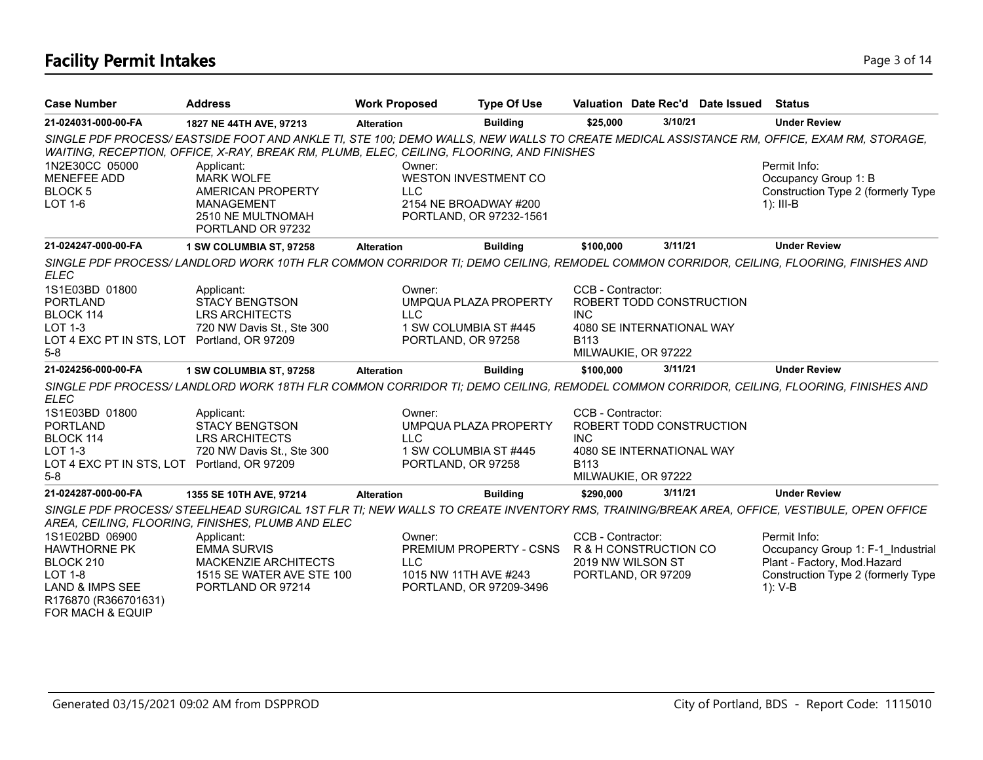## **Facility Permit Intakes** Page 3 of 14

| <b>Case Number</b>                                                                                                                      | <b>Address</b>                                                                                                                                                                                                                                                                                                     | <b>Work Proposed</b> | <b>Type Of Use</b>                                                              |                                         |                                                                              | Valuation Date Rec'd Date Issued | Status                                                                                                                               |
|-----------------------------------------------------------------------------------------------------------------------------------------|--------------------------------------------------------------------------------------------------------------------------------------------------------------------------------------------------------------------------------------------------------------------------------------------------------------------|----------------------|---------------------------------------------------------------------------------|-----------------------------------------|------------------------------------------------------------------------------|----------------------------------|--------------------------------------------------------------------------------------------------------------------------------------|
| 21-024031-000-00-FA                                                                                                                     | 1827 NE 44TH AVE, 97213                                                                                                                                                                                                                                                                                            | <b>Alteration</b>    | <b>Building</b>                                                                 | \$25,000                                | 3/10/21                                                                      |                                  | <b>Under Review</b>                                                                                                                  |
|                                                                                                                                         | SINGLE PDF PROCESS/EASTSIDE FOOT AND ANKLE TI, STE 100; DEMO WALLS, NEW WALLS TO CREATE MEDICAL ASSISTANCE RM, OFFICE, EXAM RM, STORAGE,<br>WAITING, RECEPTION, OFFICE, X-RAY, BREAK RM, PLUMB, ELEC, CEILING, FLOORING, AND FINISHES                                                                              |                      |                                                                                 |                                         |                                                                              |                                  |                                                                                                                                      |
| 1N2E30CC 05000<br><b>MENEFEE ADD</b><br>BLOCK <sub>5</sub><br><b>LOT 1-6</b>                                                            | Applicant:<br><b>MARK WOLFE</b><br><b>AMERICAN PROPERTY</b><br>MANAGEMENT<br>2510 NE MULTNOMAH<br>PORTLAND OR 97232                                                                                                                                                                                                | Owner:<br><b>LLC</b> | <b>WESTON INVESTMENT CO</b><br>2154 NE BROADWAY #200<br>PORTLAND, OR 97232-1561 |                                         |                                                                              |                                  | Permit Info:<br>Occupancy Group 1: B<br>Construction Type 2 (formerly Type<br>$1$ : III-B                                            |
| 21-024247-000-00-FA                                                                                                                     | 1 SW COLUMBIA ST, 97258                                                                                                                                                                                                                                                                                            | <b>Alteration</b>    | <b>Building</b>                                                                 | \$100,000                               | 3/11/21                                                                      |                                  | <b>Under Review</b>                                                                                                                  |
| <b>ELEC</b>                                                                                                                             | SINGLE PDF PROCESS/LANDLORD WORK 10TH FLR COMMON CORRIDOR TI; DEMO CEILING, REMODEL COMMON CORRIDOR, CEILING, FLOORING, FINISHES AND                                                                                                                                                                               |                      |                                                                                 |                                         |                                                                              |                                  |                                                                                                                                      |
| 1S1E03BD 01800<br><b>PORTLAND</b><br>BLOCK 114<br>LOT 1-3<br>LOT 4 EXC PT IN STS, LOT Portland, OR 97209                                | Applicant:<br><b>STACY BENGTSON</b><br><b>LRS ARCHITECTS</b><br>720 NW Davis St., Ste 300                                                                                                                                                                                                                          | Owner:<br><b>LLC</b> | UMPQUA PLAZA PROPERTY<br>1 SW COLUMBIA ST #445<br>PORTLAND, OR 97258            | CCB - Contractor:<br><b>INC</b><br>B113 | ROBERT TODD CONSTRUCTION<br>4080 SE INTERNATIONAL WAY                        |                                  |                                                                                                                                      |
| $5-8$                                                                                                                                   |                                                                                                                                                                                                                                                                                                                    |                      |                                                                                 |                                         | MILWAUKIE, OR 97222                                                          |                                  |                                                                                                                                      |
| 21-024256-000-00-FA                                                                                                                     | 1 SW COLUMBIA ST, 97258                                                                                                                                                                                                                                                                                            | <b>Alteration</b>    | <b>Building</b>                                                                 | \$100,000                               | 3/11/21                                                                      |                                  | <b>Under Review</b>                                                                                                                  |
| <b>ELEC</b>                                                                                                                             | SINGLE PDF PROCESS/LANDLORD WORK 18TH FLR COMMON CORRIDOR TI; DEMO CEILING, REMODEL COMMON CORRIDOR, CEILING, FLOORING, FINISHES AND                                                                                                                                                                               |                      |                                                                                 |                                         |                                                                              |                                  |                                                                                                                                      |
| 1S1E03BD 01800<br><b>PORTLAND</b><br>BLOCK 114<br><b>LOT 1-3</b><br>LOT 4 EXC PT IN STS, LOT Portland, OR 97209<br>$5-8$                | Applicant:<br><b>STACY BENGTSON</b><br><b>LRS ARCHITECTS</b><br>720 NW Davis St., Ste 300                                                                                                                                                                                                                          | Owner:<br><b>LLC</b> | <b>UMPQUA PLAZA PROPERTY</b><br>1 SW COLUMBIA ST #445<br>PORTLAND, OR 97258     | CCB - Contractor:<br><b>INC</b><br>B113 | ROBERT TODD CONSTRUCTION<br>4080 SE INTERNATIONAL WAY<br>MILWAUKIE, OR 97222 |                                  |                                                                                                                                      |
| 21-024287-000-00-FA                                                                                                                     | 1355 SE 10TH AVE, 97214                                                                                                                                                                                                                                                                                            | <b>Alteration</b>    | <b>Building</b>                                                                 | \$290,000                               | 3/11/21                                                                      |                                  | <b>Under Review</b>                                                                                                                  |
| 1S1E02BD 06900<br><b>HAWTHORNE PK</b><br>BLOCK 210<br>LOT 1-8<br><b>LAND &amp; IMPS SEE</b><br>R176870 (R366701631)<br>FOR MACH & EQUIP | SINGLE PDF PROCESS/STEELHEAD SURGICAL 1ST FLR TI; NEW WALLS TO CREATE INVENTORY RMS, TRAINING/BREAK AREA, OFFICE, VESTIBULE, OPEN OFFICE<br>AREA, CEILING, FLOORING, FINISHES, PLUMB AND ELEC<br>Applicant:<br><b>EMMA SURVIS</b><br><b>MACKENZIE ARCHITECTS</b><br>1515 SE WATER AVE STE 100<br>PORTLAND OR 97214 | Owner:<br><b>LLC</b> | PREMIUM PROPERTY - CSNS<br>1015 NW 11TH AVE #243<br>PORTLAND, OR 97209-3496     | CCB - Contractor:                       | R & H CONSTRUCTION CO<br>2019 NW WILSON ST<br>PORTLAND, OR 97209             |                                  | Permit Info:<br>Occupancy Group 1: F-1 Industrial<br>Plant - Factory, Mod.Hazard<br>Construction Type 2 (formerly Type<br>$1)$ : V-B |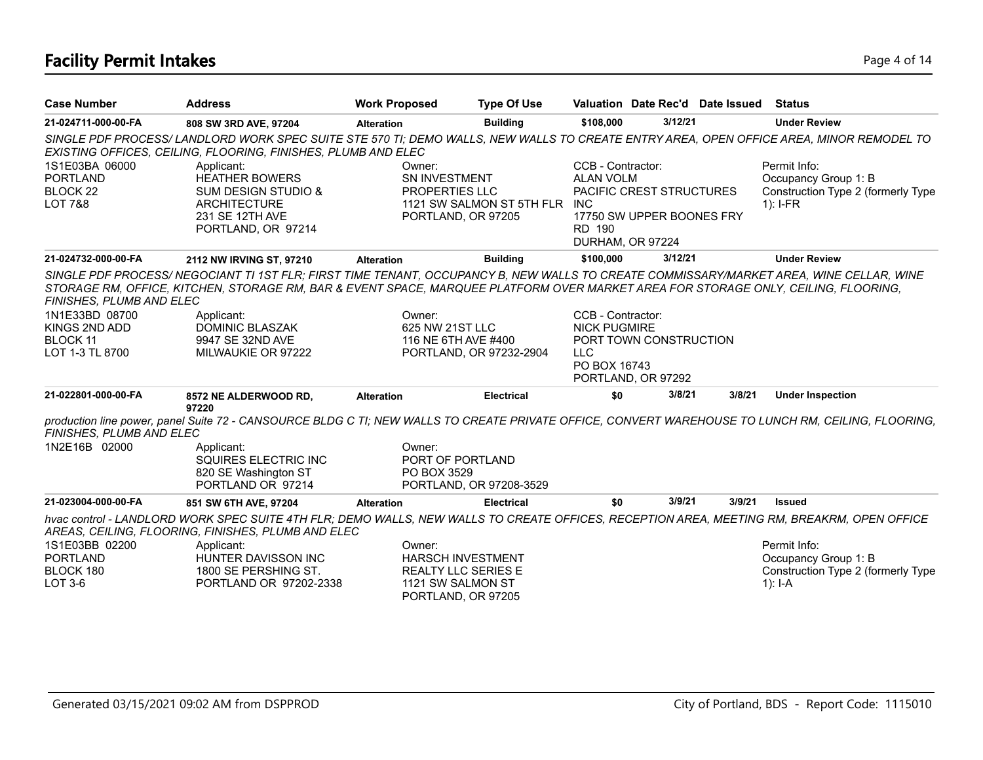## **Facility Permit Intakes** Page 4 of 14

| <b>Case Number</b>                                                  | <b>Address</b>                                                                                                                                                                                                                                                               | <b>Work Proposed</b>                             | <b>Type Of Use</b>                                  |                                                                     |                                                       | Valuation Date Rec'd Date Issued | Status                                                                                                                                             |
|---------------------------------------------------------------------|------------------------------------------------------------------------------------------------------------------------------------------------------------------------------------------------------------------------------------------------------------------------------|--------------------------------------------------|-----------------------------------------------------|---------------------------------------------------------------------|-------------------------------------------------------|----------------------------------|----------------------------------------------------------------------------------------------------------------------------------------------------|
| 21-024711-000-00-FA                                                 | 808 SW 3RD AVE, 97204                                                                                                                                                                                                                                                        | <b>Alteration</b>                                | <b>Building</b>                                     | \$108,000                                                           | 3/12/21                                               |                                  | <b>Under Review</b>                                                                                                                                |
|                                                                     | SINGLE PDF PROCESS/LANDLORD WORK SPEC SUITE STE 570 TI; DEMO WALLS, NEW WALLS TO CREATE ENTRY AREA, OPEN OFFICE AREA, MINOR REMODEL TO<br>EXISTING OFFICES, CEILING, FLOORING, FINISHES, PLUMB AND ELEC                                                                      |                                                  |                                                     |                                                                     |                                                       |                                  |                                                                                                                                                    |
| 1S1E03BA 06000<br><b>PORTLAND</b><br>BLOCK 22<br><b>LOT 7&amp;8</b> | Applicant:<br><b>HEATHER BOWERS</b><br><b>SUM DESIGN STUDIO &amp;</b><br><b>ARCHITECTURE</b><br>231 SE 12TH AVE<br>PORTLAND, OR 97214                                                                                                                                        | Owner:<br>SN INVESTMENT<br><b>PROPERTIES LLC</b> | 1121 SW SALMON ST 5TH FLR INC<br>PORTLAND, OR 97205 | CCB - Contractor:<br><b>ALAN VOLM</b><br>RD 190<br>DURHAM, OR 97224 | PACIFIC CREST STRUCTURES<br>17750 SW UPPER BOONES FRY |                                  | Permit Info:<br>Occupancy Group 1: B<br>Construction Type 2 (formerly Type<br>$1$ : I-FR                                                           |
| 21-024732-000-00-FA                                                 | 2112 NW IRVING ST, 97210                                                                                                                                                                                                                                                     | <b>Alteration</b>                                | <b>Building</b>                                     | \$100,000                                                           | 3/12/21                                               |                                  | <b>Under Review</b>                                                                                                                                |
| FINISHES, PLUMB AND ELEC                                            | SINGLE PDF PROCESS/NEGOCIANT TI 1ST FLR; FIRST TIME TENANT, OCCUPANCY B, NEW WALLS TO CREATE COMMISSARY/MARKET AREA, WINE CELLAR, WINE<br>STORAGE RM, OFFICE, KITCHEN, STORAGE RM, BAR & EVENT SPACE, MARQUEE PLATFORM OVER MARKET AREA FOR STORAGE ONLY, CEILING, FLOORING, |                                                  |                                                     |                                                                     |                                                       |                                  |                                                                                                                                                    |
| 1N1E33BD 08700<br>KINGS 2ND ADD                                     | Applicant:<br><b>DOMINIC BLASZAK</b>                                                                                                                                                                                                                                         | Owner:<br>625 NW 21ST LLC                        |                                                     | CCB - Contractor:<br><b>NICK PUGMIRE</b>                            |                                                       |                                  |                                                                                                                                                    |
| BLOCK 11                                                            | 9947 SE 32ND AVE                                                                                                                                                                                                                                                             | 116 NE 6TH AVE #400                              |                                                     |                                                                     | PORT TOWN CONSTRUCTION                                |                                  |                                                                                                                                                    |
| LOT 1-3 TL 8700                                                     | MILWAUKIE OR 97222                                                                                                                                                                                                                                                           |                                                  | PORTLAND, OR 97232-2904                             | <b>LLC</b>                                                          |                                                       |                                  |                                                                                                                                                    |
|                                                                     |                                                                                                                                                                                                                                                                              |                                                  |                                                     | PO BOX 16743                                                        | PORTLAND, OR 97292                                    |                                  |                                                                                                                                                    |
| 21-022801-000-00-FA                                                 | 8572 NE ALDERWOOD RD,<br>97220                                                                                                                                                                                                                                               | <b>Alteration</b>                                | <b>Electrical</b>                                   | \$0                                                                 | 3/8/21                                                | 3/8/21                           | <b>Under Inspection</b>                                                                                                                            |
| FINISHES, PLUMB AND ELEC                                            |                                                                                                                                                                                                                                                                              |                                                  |                                                     |                                                                     |                                                       |                                  | production line power, panel Suite 72 - CANSOURCE BLDG C TI; NEW WALLS TO CREATE PRIVATE OFFICE, CONVERT WAREHOUSE TO LUNCH RM, CEILING, FLOORING, |
| 1N2E16B 02000                                                       | Applicant:<br>SQUIRES ELECTRIC INC<br>820 SE Washington ST<br>PORTLAND OR 97214                                                                                                                                                                                              | Owner:<br>PORT OF PORTLAND<br>PO BOX 3529        | PORTLAND, OR 97208-3529                             |                                                                     |                                                       |                                  |                                                                                                                                                    |
| 21-023004-000-00-FA                                                 | 851 SW 6TH AVE, 97204                                                                                                                                                                                                                                                        | <b>Alteration</b>                                | <b>Electrical</b>                                   | \$0                                                                 | 3/9/21                                                | 3/9/21                           | <b>Issued</b>                                                                                                                                      |
|                                                                     | hvac control - LANDLORD WORK SPEC SUITE 4TH FLR; DEMO WALLS, NEW WALLS TO CREATE OFFICES, RECEPTION AREA, MEETING RM, BREAKRM, OPEN OFFICE<br>AREAS, CEILING, FLOORING, FINISHES, PLUMB AND ELEC                                                                             |                                                  |                                                     |                                                                     |                                                       |                                  |                                                                                                                                                    |
| 1S1E03BB 02200                                                      | Applicant:                                                                                                                                                                                                                                                                   | Owner:                                           |                                                     |                                                                     |                                                       |                                  | Permit Info:                                                                                                                                       |
| <b>PORTLAND</b>                                                     | HUNTER DAVISSON INC                                                                                                                                                                                                                                                          |                                                  | <b>HARSCH INVESTMENT</b>                            |                                                                     |                                                       |                                  | Occupancy Group 1: B                                                                                                                               |
| BLOCK 180                                                           | 1800 SE PERSHING ST.                                                                                                                                                                                                                                                         |                                                  | <b>REALTY LLC SERIES E</b>                          |                                                                     |                                                       |                                  | Construction Type 2 (formerly Type                                                                                                                 |
| LOT 3-6                                                             | PORTLAND OR 97202-2338                                                                                                                                                                                                                                                       | 1121 SW SALMON ST                                |                                                     |                                                                     |                                                       |                                  | $1$ : I-A                                                                                                                                          |

PORTLAND, OR 97205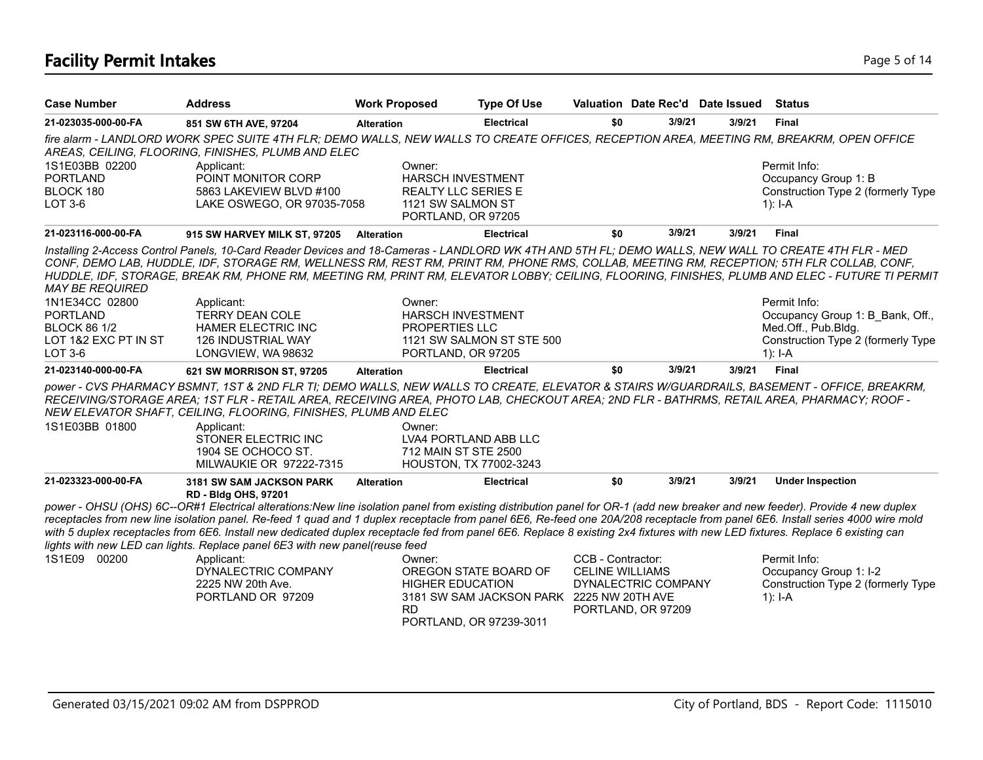## **Facility Permit Intakes** Page 5 of 14

| <b>Case Number</b>                                               | <b>Address</b>                                                                                                                                                                                                                                                                                                                                                                                                                                                                                                                                                                                                                                                                                                                        | <b>Work Proposed</b>                                                                                        | <b>Type Of Use</b>                                                                            | Valuation Date Rec'd Date Issued                                                         |        |        | <b>Status</b>                                                                                                                                  |
|------------------------------------------------------------------|---------------------------------------------------------------------------------------------------------------------------------------------------------------------------------------------------------------------------------------------------------------------------------------------------------------------------------------------------------------------------------------------------------------------------------------------------------------------------------------------------------------------------------------------------------------------------------------------------------------------------------------------------------------------------------------------------------------------------------------|-------------------------------------------------------------------------------------------------------------|-----------------------------------------------------------------------------------------------|------------------------------------------------------------------------------------------|--------|--------|------------------------------------------------------------------------------------------------------------------------------------------------|
| 21-023035-000-00-FA                                              | 851 SW 6TH AVE, 97204                                                                                                                                                                                                                                                                                                                                                                                                                                                                                                                                                                                                                                                                                                                 | <b>Alteration</b>                                                                                           | <b>Electrical</b>                                                                             | \$0                                                                                      | 3/9/21 | 3/9/21 | <b>Final</b>                                                                                                                                   |
|                                                                  | fire alarm - LANDLORD WORK SPEC SUITE 4TH FLR; DEMO WALLS, NEW WALLS TO CREATE OFFICES, RECEPTION AREA, MEETING RM, BREAKRM, OPEN OFFICE<br>AREAS, CEILING, FLOORING, FINISHES, PLUMB AND ELEC                                                                                                                                                                                                                                                                                                                                                                                                                                                                                                                                        |                                                                                                             |                                                                                               |                                                                                          |        |        |                                                                                                                                                |
| 1S1E03BB 02200<br><b>PORTLAND</b><br>BLOCK 180<br><b>LOT 3-6</b> | Applicant:<br>POINT MONITOR CORP<br>5863 LAKEVIEW BLVD #100<br>LAKE OSWEGO, OR 97035-7058                                                                                                                                                                                                                                                                                                                                                                                                                                                                                                                                                                                                                                             | Owner:<br><b>HARSCH INVESTMENT</b><br><b>REALTY LLC SERIES E</b><br>1121 SW SALMON ST<br>PORTLAND, OR 97205 |                                                                                               |                                                                                          |        |        | Permit Info:<br>Occupancy Group 1: B<br>Construction Type 2 (formerly Type<br>1): $I - A$                                                      |
| 21-023116-000-00-FA                                              | 915 SW HARVEY MILK ST, 97205                                                                                                                                                                                                                                                                                                                                                                                                                                                                                                                                                                                                                                                                                                          | <b>Alteration</b>                                                                                           | <b>Electrical</b>                                                                             | \$0                                                                                      | 3/9/21 | 3/9/21 | <b>Final</b>                                                                                                                                   |
| <b>MAY BE REQUIRED</b>                                           | Installing 2-Access Control Panels, 10-Card Reader Devices and 18-Cameras - LANDLORD WK 4TH AND 5TH FL; DEMO WALLS, NEW WALL TO CREATE 4TH FLR - MED<br>CONF, DEMO LAB, HUDDLE, IDF, STORAGE RM, WELLNESS RM, REST RM, PRINT RM, PHONE RMS, COLLAB, MEETING RM, RECEPTION; 5TH FLR COLLAB, CONF,                                                                                                                                                                                                                                                                                                                                                                                                                                      |                                                                                                             |                                                                                               |                                                                                          |        |        | HUDDLE, IDF, STORAGE, BREAK RM, PHONE RM, MEETING RM, PRINT RM, ELEVATOR LOBBY; CEILING, FLOORING, FINISHES, PLUMB AND ELEC - FUTURE TI PERMIT |
| 1N1E34CC 02800<br><b>PORTLAND</b><br><b>BLOCK 86 1/2</b>         | Applicant:<br><b>TERRY DEAN COLE</b><br><b>HAMER ELECTRIC INC</b>                                                                                                                                                                                                                                                                                                                                                                                                                                                                                                                                                                                                                                                                     | Owner:<br><b>HARSCH INVESTMENT</b><br>PROPERTIES LLC                                                        |                                                                                               |                                                                                          |        |        | Permit Info:<br>Occupancy Group 1: B_Bank, Off.,<br>Med.Off., Pub.Bldg.                                                                        |
| LOT 1&2 EXC PT IN ST<br>LOT 3-6                                  | 126 INDUSTRIAL WAY<br>LONGVIEW, WA 98632                                                                                                                                                                                                                                                                                                                                                                                                                                                                                                                                                                                                                                                                                              | PORTLAND, OR 97205                                                                                          | 1121 SW SALMON ST STE 500                                                                     |                                                                                          |        |        | Construction Type 2 (formerly Type<br>$1$ : I-A                                                                                                |
| 21-023140-000-00-FA                                              | 621 SW MORRISON ST, 97205                                                                                                                                                                                                                                                                                                                                                                                                                                                                                                                                                                                                                                                                                                             | <b>Alteration</b>                                                                                           | <b>Electrical</b>                                                                             | \$0                                                                                      | 3/9/21 | 3/9/21 | <b>Final</b>                                                                                                                                   |
| 1S1E03BB 01800                                                   | power - CVS PHARMACY BSMNT, 1ST & 2ND FLR TI; DEMO WALLS, NEW WALLS TO CREATE, ELEVATOR & STAIRS W/GUARDRAILS, BASEMENT - OFFICE, BREAKRM,<br>RECEIVING/STORAGE AREA; 1ST FLR - RETAIL AREA, RECEIVING AREA, PHOTO LAB, CHECKOUT AREA; 2ND FLR - BATHRMS, RETAIL AREA, PHARMACY; ROOF -<br>NEW ELEVATOR SHAFT, CEILING, FLOORING, FINISHES, PLUMB AND ELEC<br>Applicant:<br>STONER ELECTRIC INC<br>1904 SE OCHOCO ST.<br>MILWAUKIE OR 97222-7315                                                                                                                                                                                                                                                                                      | Owner:<br>LVA4 PORTLAND ABB LLC<br>712 MAIN ST STE 2500<br>HOUSTON, TX 77002-3243                           |                                                                                               |                                                                                          |        |        |                                                                                                                                                |
| 21-023323-000-00-FA                                              | <b>3181 SW SAM JACKSON PARK</b>                                                                                                                                                                                                                                                                                                                                                                                                                                                                                                                                                                                                                                                                                                       | <b>Alteration</b>                                                                                           | <b>Electrical</b>                                                                             | \$0                                                                                      | 3/9/21 | 3/9/21 | <b>Under Inspection</b>                                                                                                                        |
| 1S1E09<br>00200                                                  | RD - Bldg OHS, 97201<br>power - OHSU (OHS) 6C--OR#1 Electrical alterations:New line isolation panel from existing distribution panel for OR-1 (add new breaker and new feeder). Provide 4 new duplex<br>receptacles from new line isolation panel. Re-feed 1 quad and 1 duplex receptacle from panel 6E6, Re-feed one 20A/208 receptacle from panel 6E6. Install series 4000 wire mold<br>with 5 duplex receptacles from 6E6. Install new dedicated duplex receptacle fed from panel 6E6. Replace 8 existing 2x4 fixtures with new LED fixtures. Replace 6 existing can<br>lights with new LED can lights. Replace panel 6E3 with new panel(reuse feed<br>Applicant:<br>DYNALECTRIC COMPANY<br>2225 NW 20th Ave.<br>PORTLAND OR 97209 | Owner:<br><b>HIGHER EDUCATION</b><br><b>RD</b>                                                              | OREGON STATE BOARD OF<br>3181 SW SAM JACKSON PARK 2225 NW 20TH AVE<br>PORTLAND, OR 97239-3011 | CCB - Contractor:<br><b>CELINE WILLIAMS</b><br>DYNALECTRIC COMPANY<br>PORTLAND, OR 97209 |        |        | Permit Info:<br>Occupancy Group 1: I-2<br>Construction Type 2 (formerly Type<br>$1$ : I-A                                                      |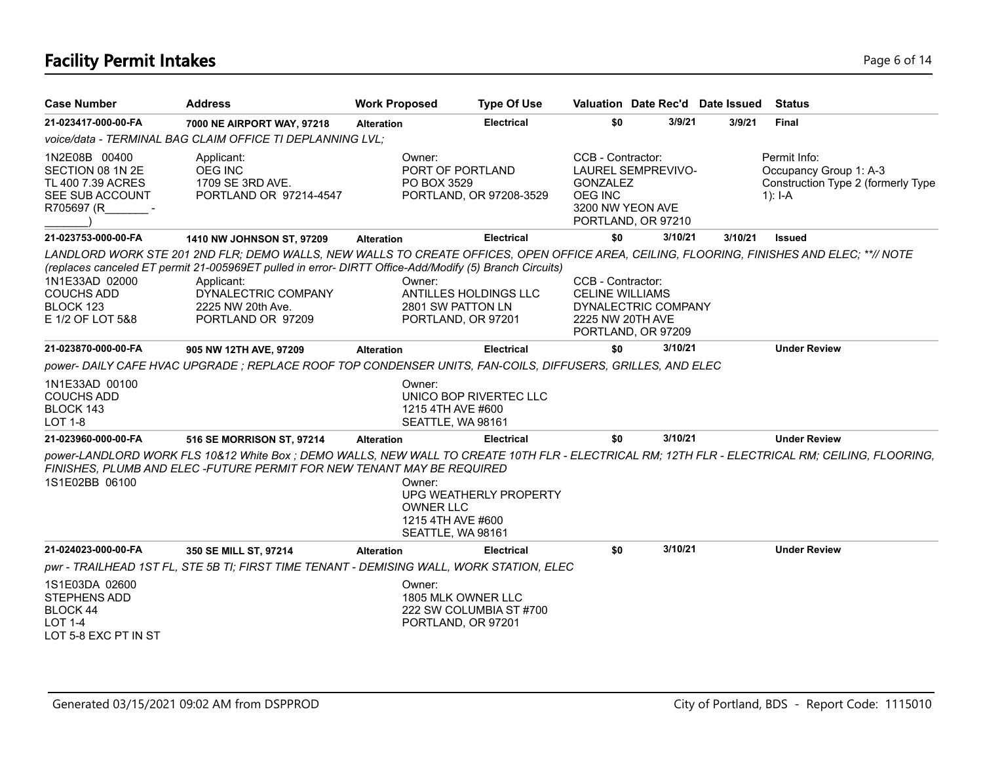## **Facility Permit Intakes** Page 6 of 14

| <b>Case Number</b>                                                                      | <b>Address</b>                                                                                                                                                                                                                                                                                                                     | <b>Work Proposed</b> | <b>Type Of Use</b>                                                                   |                                                                 | Valuation Date Rec'd Date Issued                                    |         | <b>Status</b>                                                                                                                                   |
|-----------------------------------------------------------------------------------------|------------------------------------------------------------------------------------------------------------------------------------------------------------------------------------------------------------------------------------------------------------------------------------------------------------------------------------|----------------------|--------------------------------------------------------------------------------------|-----------------------------------------------------------------|---------------------------------------------------------------------|---------|-------------------------------------------------------------------------------------------------------------------------------------------------|
| 21-023417-000-00-FA                                                                     | 7000 NE AIRPORT WAY, 97218                                                                                                                                                                                                                                                                                                         | <b>Alteration</b>    | <b>Electrical</b>                                                                    | \$0                                                             | 3/9/21                                                              | 3/9/21  | Final                                                                                                                                           |
|                                                                                         | voice/data - TERMINAL BAG CLAIM OFFICE TI DEPLANNING LVL;                                                                                                                                                                                                                                                                          |                      |                                                                                      |                                                                 |                                                                     |         |                                                                                                                                                 |
| 1N2E08B 00400<br>SECTION 08 1N 2E<br>TL 400 7.39 ACRES<br>SEE SUB ACCOUNT<br>R705697 (R | Applicant:<br><b>OEG INC</b><br>1709 SE 3RD AVE.<br>PORTLAND OR 97214-4547                                                                                                                                                                                                                                                         |                      | Owner:<br>PORT OF PORTLAND<br>PO BOX 3529<br>PORTLAND, OR 97208-3529                 | CCB - Contractor:<br><b>GONZALEZ</b><br>OEG INC                 | <b>LAUREL SEMPREVIVO-</b><br>3200 NW YEON AVE<br>PORTLAND, OR 97210 |         | Permit Info:<br>Occupancy Group 1: A-3<br>Construction Type 2 (formerly Type<br>1): $I - A$                                                     |
| 21-023753-000-00-FA                                                                     | 1410 NW JOHNSON ST, 97209                                                                                                                                                                                                                                                                                                          | <b>Alteration</b>    | <b>Electrical</b>                                                                    | \$0                                                             | 3/10/21                                                             | 3/10/21 | <b>Issued</b>                                                                                                                                   |
| 1N1E33AD 02000<br><b>COUCHS ADD</b><br>BLOCK 123<br>E 1/2 OF LOT 5&8                    | LANDLORD WORK STE 201 2ND FLR; DEMO WALLS, NEW WALLS TO CREATE OFFICES, OPEN OFFICE AREA, CEILING, FLOORING, FINISHES AND ELEC; **// NOTE<br>(replaces canceled ET permit 21-005969ET pulled in error- DIRTT Office-Add/Modify (5) Branch Circuits)<br>Applicant:<br>DYNALECTRIC COMPANY<br>2225 NW 20th Ave.<br>PORTLAND OR 97209 | Owner:               | ANTILLES HOLDINGS LLC<br>2801 SW PATTON LN<br>PORTLAND, OR 97201                     | CCB - Contractor:<br><b>CELINE WILLIAMS</b><br>2225 NW 20TH AVE | DYNALECTRIC COMPANY<br>PORTLAND, OR 97209                           |         |                                                                                                                                                 |
| 21-023870-000-00-FA                                                                     | 905 NW 12TH AVE, 97209                                                                                                                                                                                                                                                                                                             | <b>Alteration</b>    | <b>Electrical</b>                                                                    | \$0                                                             | 3/10/21                                                             |         | <b>Under Review</b>                                                                                                                             |
|                                                                                         | power- DAILY CAFE HVAC UPGRADE ; REPLACE ROOF TOP CONDENSER UNITS, FAN-COILS, DIFFUSERS, GRILLES, AND ELEC                                                                                                                                                                                                                         |                      |                                                                                      |                                                                 |                                                                     |         |                                                                                                                                                 |
| 1N1E33AD 00100<br><b>COUCHS ADD</b><br>BLOCK 143<br><b>LOT 1-8</b>                      |                                                                                                                                                                                                                                                                                                                                    | Owner:               | UNICO BOP RIVERTEC LLC<br>1215 4TH AVE #600<br>SEATTLE, WA 98161                     |                                                                 |                                                                     |         |                                                                                                                                                 |
| 21-023960-000-00-FA                                                                     | 516 SE MORRISON ST, 97214                                                                                                                                                                                                                                                                                                          | <b>Alteration</b>    | <b>Electrical</b>                                                                    | \$0                                                             | 3/10/21                                                             |         | <b>Under Review</b>                                                                                                                             |
| 1S1E02BB 06100                                                                          | FINISHES, PLUMB AND ELEC - FUTURE PERMIT FOR NEW TENANT MAY BE REQUIRED                                                                                                                                                                                                                                                            | Owner:               | UPG WEATHERLY PROPERTY<br><b>OWNER LLC</b><br>1215 4TH AVE #600<br>SEATTLE, WA 98161 |                                                                 |                                                                     |         | power-LANDLORD WORK FLS 10&12 White Box ; DEMO WALLS, NEW WALL TO CREATE 10TH FLR - ELECTRICAL RM; 12TH FLR - ELECTRICAL RM; CEILING, FLOORING, |
| 21-024023-000-00-FA                                                                     | 350 SE MILL ST, 97214                                                                                                                                                                                                                                                                                                              | <b>Alteration</b>    | <b>Electrical</b>                                                                    | \$0                                                             | 3/10/21                                                             |         | <b>Under Review</b>                                                                                                                             |
|                                                                                         | pwr - TRAILHEAD 1ST FL, STE 5B TI; FIRST TIME TENANT - DEMISING WALL, WORK STATION, ELEC                                                                                                                                                                                                                                           |                      |                                                                                      |                                                                 |                                                                     |         |                                                                                                                                                 |
| 1S1E03DA 02600<br>STEPHENS ADD<br>BLOCK 44<br><b>LOT 1-4</b><br>LOT 5-8 EXC PT IN ST    |                                                                                                                                                                                                                                                                                                                                    | Owner:               | 1805 MLK OWNER LLC<br>222 SW COLUMBIA ST #700<br>PORTLAND, OR 97201                  |                                                                 |                                                                     |         |                                                                                                                                                 |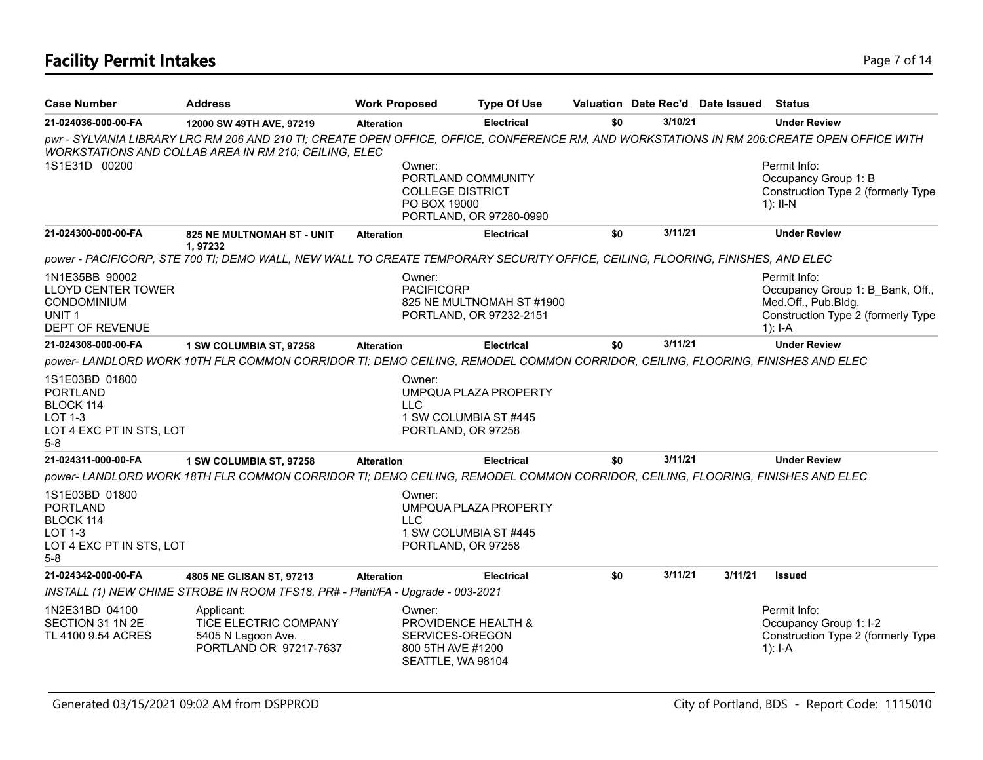| <b>Case Number</b>                                                                                        | Address                                                                                                                                                                                              | <b>Work Proposed</b> | <b>Type Of Use</b>                                                                                 |     |         | Valuation Date Rec'd Date Issued | <b>Status</b>                                                                                                              |
|-----------------------------------------------------------------------------------------------------------|------------------------------------------------------------------------------------------------------------------------------------------------------------------------------------------------------|----------------------|----------------------------------------------------------------------------------------------------|-----|---------|----------------------------------|----------------------------------------------------------------------------------------------------------------------------|
| 21-024036-000-00-FA                                                                                       | 12000 SW 49TH AVE, 97219                                                                                                                                                                             | <b>Alteration</b>    | <b>Electrical</b>                                                                                  | \$0 | 3/10/21 |                                  | <b>Under Review</b>                                                                                                        |
|                                                                                                           | pwr - SYLVANIA LIBRARY LRC RM 206 AND 210 TI; CREATE OPEN OFFICE, OFFICE, CONFERENCE RM, AND WORKSTATIONS IN RM 206:CREATE OPEN OFFICE WITH<br>WORKSTATIONS AND COLLAB AREA IN RM 210; CEILING, ELEC |                      |                                                                                                    |     |         |                                  |                                                                                                                            |
| 1S1E31D 00200                                                                                             |                                                                                                                                                                                                      |                      | Owner:<br>PORTLAND COMMUNITY<br><b>COLLEGE DISTRICT</b><br>PO BOX 19000<br>PORTLAND, OR 97280-0990 |     |         |                                  | Permit Info:<br>Occupancy Group 1: B<br>Construction Type 2 (formerly Type<br>$1$ : II-N                                   |
| 21-024300-000-00-FA                                                                                       | <b>825 NE MULTNOMAH ST - UNIT</b><br>1,97232                                                                                                                                                         | <b>Alteration</b>    | <b>Electrical</b>                                                                                  | \$0 | 3/11/21 |                                  | <b>Under Review</b>                                                                                                        |
|                                                                                                           | power - PACIFICORP, STE 700 TI; DEMO WALL, NEW WALL TO CREATE TEMPORARY SECURITY OFFICE, CEILING, FLOORING, FINISHES, AND ELEC                                                                       |                      |                                                                                                    |     |         |                                  |                                                                                                                            |
| 1N1E35BB 90002<br><b>LLOYD CENTER TOWER</b><br><b>CONDOMINIUM</b><br>UNIT <sub>1</sub><br>DEPT OF REVENUE |                                                                                                                                                                                                      |                      | Owner:<br><b>PACIFICORP</b><br>825 NE MULTNOMAH ST #1900<br>PORTLAND, OR 97232-2151                |     |         |                                  | Permit Info:<br>Occupancy Group 1: B Bank, Off.,<br>Med.Off., Pub.Bldg.<br>Construction Type 2 (formerly Type<br>$1$ : I-A |
| 21-024308-000-00-FA                                                                                       | 1 SW COLUMBIA ST, 97258                                                                                                                                                                              | <b>Alteration</b>    | <b>Electrical</b>                                                                                  | \$0 | 3/11/21 |                                  | <b>Under Review</b>                                                                                                        |
|                                                                                                           | power- LANDLORD WORK 10TH FLR COMMON CORRIDOR TI; DEMO CEILING, REMODEL COMMON CORRIDOR, CEILING, FLOORING, FINISHES AND ELEC                                                                        |                      |                                                                                                    |     |         |                                  |                                                                                                                            |
| 1S1E03BD 01800<br><b>PORTLAND</b><br>BLOCK 114<br><b>LOT 1-3</b><br>LOT 4 EXC PT IN STS, LOT<br>$5-8$     |                                                                                                                                                                                                      | <b>LLC</b>           | Owner:<br>UMPQUA PLAZA PROPERTY<br>1 SW COLUMBIA ST #445<br>PORTLAND, OR 97258                     |     |         |                                  |                                                                                                                            |
| 21-024311-000-00-FA                                                                                       | 1 SW COLUMBIA ST, 97258                                                                                                                                                                              | <b>Alteration</b>    | <b>Electrical</b>                                                                                  | \$0 | 3/11/21 |                                  | <b>Under Review</b>                                                                                                        |
|                                                                                                           | power- LANDLORD WORK 18TH FLR COMMON CORRIDOR TI; DEMO CEILING, REMODEL COMMON CORRIDOR, CEILING, FLOORING, FINISHES AND ELEC                                                                        |                      |                                                                                                    |     |         |                                  |                                                                                                                            |
| 1S1E03BD 01800<br><b>PORTLAND</b><br>BLOCK 114<br><b>LOT 1-3</b><br>LOT 4 EXC PT IN STS, LOT<br>$5-8$     |                                                                                                                                                                                                      | LLC.                 | Owner:<br>UMPQUA PLAZA PROPERTY<br>1 SW COLUMBIA ST #445<br>PORTLAND, OR 97258                     |     |         |                                  |                                                                                                                            |
| 21-024342-000-00-FA                                                                                       | 4805 NE GLISAN ST, 97213                                                                                                                                                                             | <b>Alteration</b>    | <b>Electrical</b>                                                                                  | \$0 | 3/11/21 | 3/11/21                          | <b>Issued</b>                                                                                                              |
|                                                                                                           | INSTALL (1) NEW CHIME STROBE IN ROOM TFS18. PR# - Plant/FA - Upgrade - 003-2021                                                                                                                      |                      |                                                                                                    |     |         |                                  |                                                                                                                            |
| 1N2E31BD 04100<br>SECTION 31 1N 2E<br>TL 4100 9.54 ACRES                                                  | Applicant:<br>TICE ELECTRIC COMPANY<br>5405 N Lagoon Ave.<br>PORTLAND OR 97217-7637                                                                                                                  |                      | Owner:<br>PROVIDENCE HEALTH &<br>SERVICES-OREGON<br>800 5TH AVE #1200<br>SEATTLE, WA 98104         |     |         |                                  | Permit Info:<br>Occupancy Group 1: I-2<br>Construction Type 2 (formerly Type<br>$1$ : I-A                                  |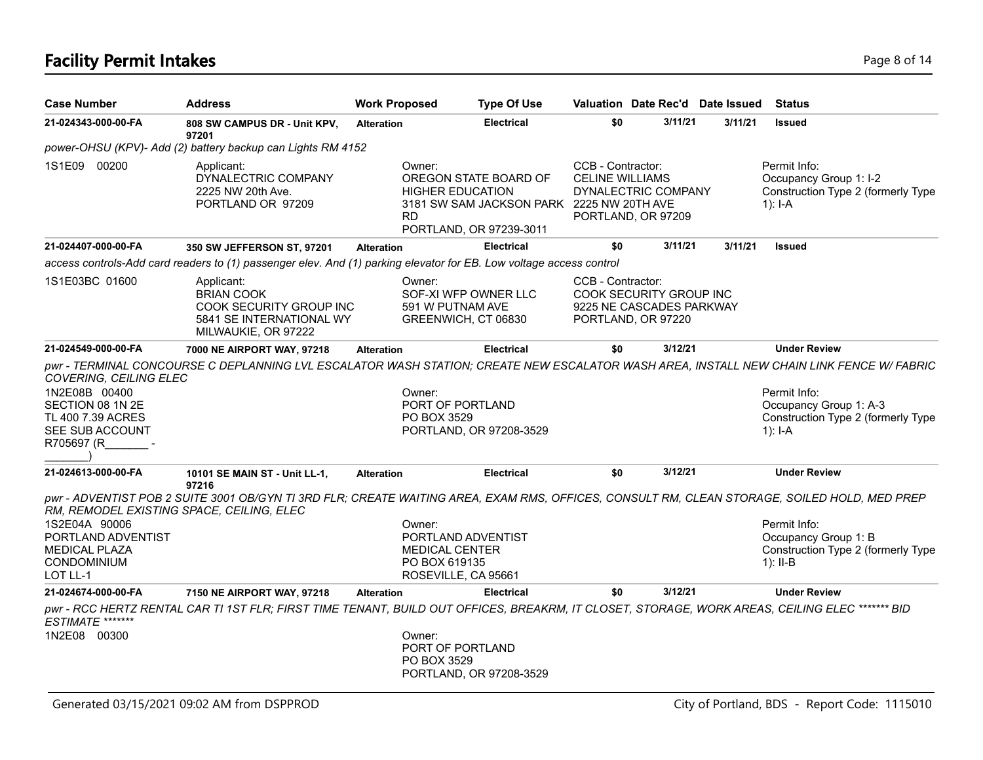## **Facility Permit Intakes** Page 8 of 14

| <b>Case Number</b>                                                                                                                  | <b>Address</b>                                                                                                                                        | <b>Work Proposed</b> | <b>Type Of Use</b>                                                                                                       |                                             | Valuation Date Rec'd Date Issued                                          |         | <b>Status</b>                                                                                                                                                                                                                         |
|-------------------------------------------------------------------------------------------------------------------------------------|-------------------------------------------------------------------------------------------------------------------------------------------------------|----------------------|--------------------------------------------------------------------------------------------------------------------------|---------------------------------------------|---------------------------------------------------------------------------|---------|---------------------------------------------------------------------------------------------------------------------------------------------------------------------------------------------------------------------------------------|
| 21-024343-000-00-FA                                                                                                                 | 808 SW CAMPUS DR - Unit KPV,<br>97201                                                                                                                 | <b>Alteration</b>    | <b>Electrical</b>                                                                                                        | \$0                                         | 3/11/21                                                                   | 3/11/21 | <b>Issued</b>                                                                                                                                                                                                                         |
|                                                                                                                                     | power-OHSU (KPV)- Add (2) battery backup can Lights RM 4152                                                                                           |                      |                                                                                                                          |                                             |                                                                           |         |                                                                                                                                                                                                                                       |
| 1S1E09 00200                                                                                                                        | Applicant:<br>DYNALECTRIC COMPANY<br>2225 NW 20th Ave.<br>PORTLAND OR 97209                                                                           | Owner:<br><b>RD</b>  | OREGON STATE BOARD OF<br><b>HIGHER EDUCATION</b><br>3181 SW SAM JACKSON PARK 2225 NW 20TH AVE<br>PORTLAND, OR 97239-3011 | CCB - Contractor:<br><b>CELINE WILLIAMS</b> | DYNALECTRIC COMPANY<br>PORTLAND, OR 97209                                 |         | Permit Info:<br>Occupancy Group 1: I-2<br>Construction Type 2 (formerly Type<br>$1$ : I-A                                                                                                                                             |
| 21-024407-000-00-FA                                                                                                                 | 350 SW JEFFERSON ST, 97201                                                                                                                            | <b>Alteration</b>    | <b>Electrical</b>                                                                                                        | \$0                                         | 3/11/21                                                                   | 3/11/21 | <b>Issued</b>                                                                                                                                                                                                                         |
|                                                                                                                                     | access controls-Add card readers to (1) passenger elev. And (1) parking elevator for EB. Low voltage access control                                   |                      |                                                                                                                          |                                             |                                                                           |         |                                                                                                                                                                                                                                       |
| 1S1E03BC 01600                                                                                                                      | Applicant:<br><b>BRIAN COOK</b><br>COOK SECURITY GROUP INC<br>5841 SE INTERNATIONAL WY<br>MILWAUKIE, OR 97222                                         | Owner:               | SOF-XI WFP OWNER LLC<br>591 W PUTNAM AVE<br>GREENWICH, CT 06830                                                          | CCB - Contractor:                           | COOK SECURITY GROUP INC<br>9225 NE CASCADES PARKWAY<br>PORTLAND, OR 97220 |         |                                                                                                                                                                                                                                       |
| 21-024549-000-00-FA                                                                                                                 | 7000 NE AIRPORT WAY, 97218                                                                                                                            | <b>Alteration</b>    | <b>Electrical</b>                                                                                                        | \$0                                         | 3/12/21                                                                   |         | <b>Under Review</b>                                                                                                                                                                                                                   |
| COVERING, CEILING ELEC<br>1N2E08B 00400<br>SECTION 08 1N 2E<br>TL 400 7.39 ACRES<br>SEE SUB ACCOUNT<br>R705697 (R                   |                                                                                                                                                       | Owner:               | PORT OF PORTLAND<br>PO BOX 3529<br>PORTLAND, OR 97208-3529                                                               |                                             |                                                                           |         | pwr - TERMINAL CONCOURSE C DEPLANNING LVL ESCALATOR WASH STATION; CREATE NEW ESCALATOR WASH AREA, INSTALL NEW CHAIN LINK FENCE W/ FABRIC<br>Permit Info:<br>Occupancy Group 1: A-3<br>Construction Type 2 (formerly Type<br>$1$ : I-A |
| 21-024613-000-00-FA                                                                                                                 | 10101 SE MAIN ST - Unit LL-1,                                                                                                                         | <b>Alteration</b>    | <b>Electrical</b>                                                                                                        | \$0                                         | 3/12/21                                                                   |         | <b>Under Review</b>                                                                                                                                                                                                                   |
| RM, REMODEL EXISTING SPACE, CEILING, ELEC<br>1S2E04A 90006<br>PORTLAND ADVENTIST<br><b>MEDICAL PLAZA</b><br>CONDOMINIUM<br>LOT LL-1 | 97216<br>pwr - ADVENTIST POB 2 SUITE 3001 OB/GYN TI 3RD FLR; CREATE WAITING AREA, EXAM RMS, OFFICES, CONSULT RM, CLEAN STORAGE, SOILED HOLD, MED PREP | Owner:               | PORTLAND ADVENTIST<br><b>MEDICAL CENTER</b><br>PO BOX 619135<br>ROSEVILLE, CA 95661                                      |                                             |                                                                           |         | Permit Info:<br>Occupancy Group 1: B<br>Construction Type 2 (formerly Type<br>1): $II-B$                                                                                                                                              |
| 21-024674-000-00-FA                                                                                                                 | 7150 NE AIRPORT WAY, 97218                                                                                                                            | <b>Alteration</b>    | <b>Electrical</b>                                                                                                        | \$0                                         | 3/12/21                                                                   |         | <b>Under Review</b>                                                                                                                                                                                                                   |
| ESTIMATE *******<br>1N2E08 00300                                                                                                    | pwr - RCC HERTZ RENTAL CAR TI 1ST FLR; FIRST TIME TENANT, BUILD OUT OFFICES, BREAKRM, IT CLOSET, STORAGE, WORK AREAS, CEILING ELEC ******* BID        | Owner:               | PORT OF PORTLAND<br>PO BOX 3529<br>PORTLAND, OR 97208-3529                                                               |                                             |                                                                           |         |                                                                                                                                                                                                                                       |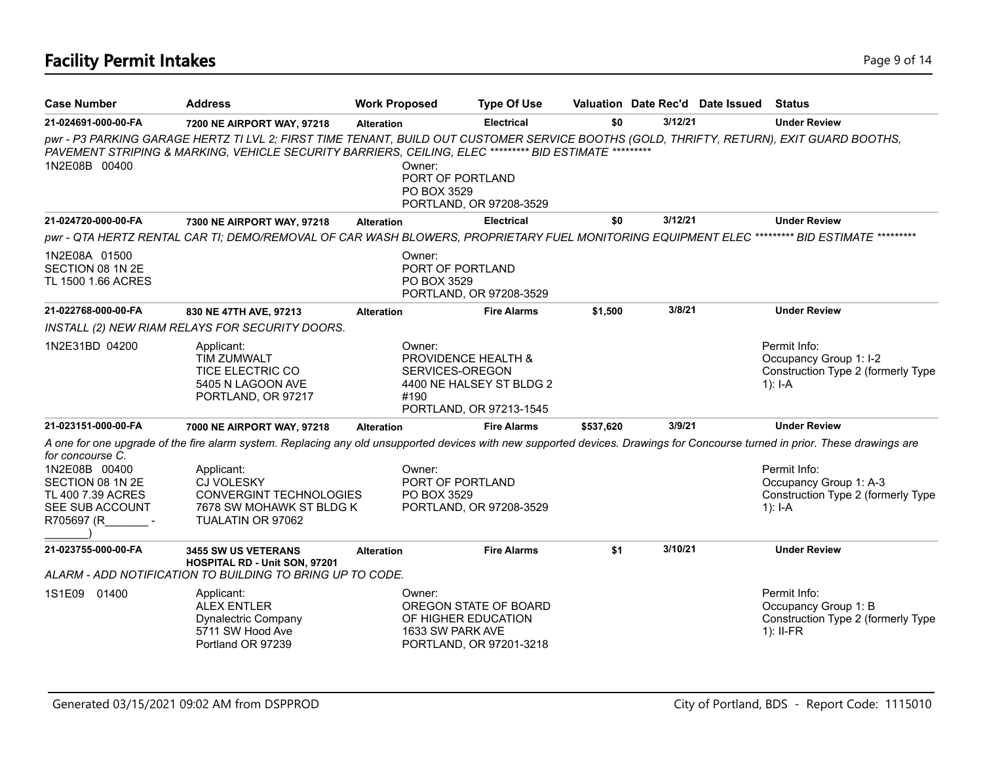| <b>Case Number</b>                                                                        | <b>Address</b>                                                                                                                                                                                                                                     | <b>Work Proposed</b> | <b>Type Of Use</b>                                                                            |           |         | Valuation Date Rec'd Date Issued | <b>Status</b>                                                                               |
|-------------------------------------------------------------------------------------------|----------------------------------------------------------------------------------------------------------------------------------------------------------------------------------------------------------------------------------------------------|----------------------|-----------------------------------------------------------------------------------------------|-----------|---------|----------------------------------|---------------------------------------------------------------------------------------------|
| 21-024691-000-00-FA                                                                       | 7200 NE AIRPORT WAY, 97218                                                                                                                                                                                                                         | <b>Alteration</b>    | <b>Electrical</b>                                                                             | \$0       | 3/12/21 |                                  | <b>Under Review</b>                                                                         |
| 1N2E08B 00400                                                                             | pwr - P3 PARKING GARAGE HERTZ TI LVL 2; FIRST TIME TENANT, BUILD OUT CUSTOMER SERVICE BOOTHS (GOLD, THRIFTY, RETURN), EXIT GUARD BOOTHS,<br>PAVEMENT STRIPING & MARKING, VEHICLE SECURITY BARRIERS, CEILING, ELEC ********* BID ESTIMATE ********* | Owner:               | PORT OF PORTLAND<br>PO BOX 3529<br>PORTLAND, OR 97208-3529                                    |           |         |                                  |                                                                                             |
| 21-024720-000-00-FA                                                                       | 7300 NE AIRPORT WAY, 97218                                                                                                                                                                                                                         | <b>Alteration</b>    | <b>Electrical</b>                                                                             | \$0       | 3/12/21 |                                  | <b>Under Review</b>                                                                         |
|                                                                                           | pwr - QTA HERTZ RENTAL CAR TI; DEMO/REMOVAL OF CAR WASH BLOWERS, PROPRIETARY FUEL MONITORING EQUIPMENT ELEC ********** BID ESTIMATE *********                                                                                                      |                      |                                                                                               |           |         |                                  |                                                                                             |
| 1N2E08A 01500<br>SECTION 08 1N 2E<br>TL 1500 1.66 ACRES                                   |                                                                                                                                                                                                                                                    | Owner:               | PORT OF PORTLAND<br>PO BOX 3529<br>PORTLAND, OR 97208-3529                                    |           |         |                                  |                                                                                             |
| 21-022768-000-00-FA                                                                       | 830 NE 47TH AVE, 97213                                                                                                                                                                                                                             | <b>Alteration</b>    | <b>Fire Alarms</b>                                                                            | \$1,500   | 3/8/21  |                                  | <b>Under Review</b>                                                                         |
|                                                                                           | INSTALL (2) NEW RIAM RELAYS FOR SECURITY DOORS.                                                                                                                                                                                                    |                      |                                                                                               |           |         |                                  |                                                                                             |
| 1N2E31BD 04200                                                                            | Applicant:<br>TIM ZUMWALT<br><b>TICE ELECTRIC CO</b><br>5405 N LAGOON AVE<br>PORTLAND, OR 97217                                                                                                                                                    | Owner:<br>#190       | PROVIDENCE HEALTH &<br>SERVICES-OREGON<br>4400 NE HALSEY ST BLDG 2<br>PORTLAND, OR 97213-1545 |           |         |                                  | Permit Info:<br>Occupancy Group 1: I-2<br>Construction Type 2 (formerly Type<br>1): $I-A$   |
| 21-023151-000-00-FA                                                                       | 7000 NE AIRPORT WAY, 97218                                                                                                                                                                                                                         | <b>Alteration</b>    | <b>Fire Alarms</b>                                                                            | \$537,620 | 3/9/21  |                                  | <b>Under Review</b>                                                                         |
| for concourse C.                                                                          | A one for one upgrade of the fire alarm system. Replacing any old unsupported devices with new supported devices. Drawings for Concourse turned in prior. These drawings are                                                                       |                      |                                                                                               |           |         |                                  |                                                                                             |
| 1N2E08B 00400<br>SECTION 08 1N 2E<br>TL 400 7.39 ACRES<br>SEE SUB ACCOUNT<br>R705697 (R - | Applicant:<br><b>CJ VOLESKY</b><br><b>CONVERGINT TECHNOLOGIES</b><br>7678 SW MOHAWK ST BLDG K<br>TUALATIN OR 97062                                                                                                                                 | Owner:               | PORT OF PORTLAND<br>PO BOX 3529<br>PORTLAND, OR 97208-3529                                    |           |         |                                  | Permit Info:<br>Occupancy Group 1: A-3<br>Construction Type 2 (formerly Type<br>1): $I - A$ |
| 21-023755-000-00-FA                                                                       | <b>3455 SW US VETERANS</b><br>HOSPITAL RD - Unit SON, 97201                                                                                                                                                                                        | <b>Alteration</b>    | <b>Fire Alarms</b>                                                                            | \$1       | 3/10/21 |                                  | <b>Under Review</b>                                                                         |
|                                                                                           | ALARM - ADD NOTIFICATION TO BUILDING TO BRING UP TO CODE.                                                                                                                                                                                          |                      |                                                                                               |           |         |                                  |                                                                                             |
| 1S1E09 01400                                                                              | Applicant:<br><b>ALEX ENTLER</b><br>Dynalectric Company<br>5711 SW Hood Ave<br>Portland OR 97239                                                                                                                                                   | Owner:               | OREGON STATE OF BOARD<br>OF HIGHER EDUCATION<br>1633 SW PARK AVE<br>PORTLAND, OR 97201-3218   |           |         |                                  | Permit Info:<br>Occupancy Group 1: B<br>Construction Type 2 (formerly Type<br>$1$ : II-FR   |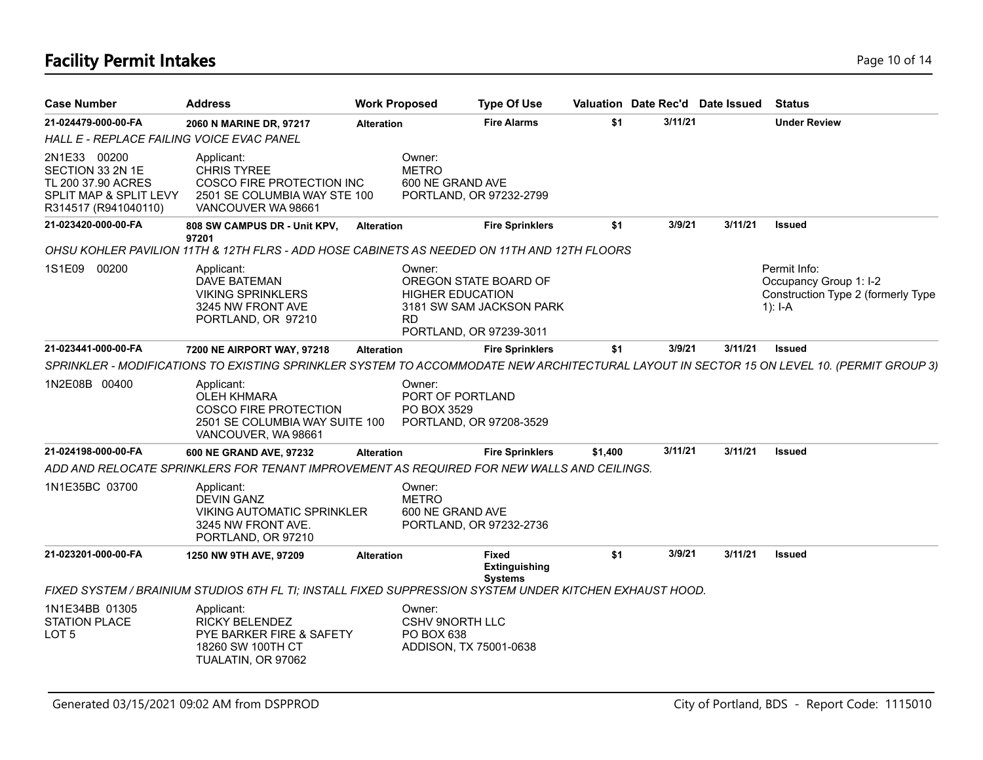## **Facility Permit Intakes** Page 10 of 14

| <b>Case Number</b>                                                                                       | <b>Address</b>                                                                                                            | <b>Work Proposed</b> |                                                                           | <b>Type Of Use</b>                                     |         |         | Valuation Date Rec'd Date Issued | <b>Status</b>                                                                                                                             |
|----------------------------------------------------------------------------------------------------------|---------------------------------------------------------------------------------------------------------------------------|----------------------|---------------------------------------------------------------------------|--------------------------------------------------------|---------|---------|----------------------------------|-------------------------------------------------------------------------------------------------------------------------------------------|
| 21-024479-000-00-FA                                                                                      | 2060 N MARINE DR, 97217                                                                                                   | <b>Alteration</b>    |                                                                           | <b>Fire Alarms</b>                                     | \$1     | 3/11/21 |                                  | <b>Under Review</b>                                                                                                                       |
| HALL E - REPLACE FAILING VOICE EVAC PANEL                                                                |                                                                                                                           |                      |                                                                           |                                                        |         |         |                                  |                                                                                                                                           |
| 2N1E33 00200<br>SECTION 33 2N 1E<br>TL 200 37.90 ACRES<br>SPLIT MAP & SPLIT LEVY<br>R314517 (R941040110) | Applicant:<br><b>CHRIS TYREE</b><br>COSCO FIRE PROTECTION INC<br>2501 SE COLUMBIA WAY STE 100<br>VANCOUVER WA 98661       |                      | Owner:<br><b>METRO</b><br>600 NE GRAND AVE                                | PORTLAND, OR 97232-2799                                |         |         |                                  |                                                                                                                                           |
| 21-023420-000-00-FA                                                                                      | 808 SW CAMPUS DR - Unit KPV,<br>97201                                                                                     | <b>Alteration</b>    |                                                                           | <b>Fire Sprinklers</b>                                 | \$1     | 3/9/21  | 3/11/21                          | <b>Issued</b>                                                                                                                             |
|                                                                                                          | OHSU KOHLER PAVILION 11TH & 12TH FLRS - ADD HOSE CABINETS AS NEEDED ON 11TH AND 12TH FLOORS                               |                      |                                                                           |                                                        |         |         |                                  |                                                                                                                                           |
| 1S1E09<br>00200                                                                                          | Applicant:<br>DAVE BATEMAN<br><b>VIKING SPRINKLERS</b><br>3245 NW FRONT AVE<br>PORTLAND, OR 97210                         |                      | Owner:<br><b>HIGHER EDUCATION</b><br><b>RD</b><br>PORTLAND, OR 97239-3011 | OREGON STATE BOARD OF<br>3181 SW SAM JACKSON PARK      |         |         |                                  | Permit Info:<br>Occupancy Group 1: I-2<br>Construction Type 2 (formerly Type<br>$1$ : I-A                                                 |
| 21-023441-000-00-FA                                                                                      | 7200 NE AIRPORT WAY, 97218                                                                                                | <b>Alteration</b>    |                                                                           | <b>Fire Sprinklers</b>                                 | \$1     | 3/9/21  | 3/11/21                          | <b>Issued</b>                                                                                                                             |
|                                                                                                          |                                                                                                                           |                      |                                                                           |                                                        |         |         |                                  | SPRINKLER - MODIFICATIONS TO EXISTING SPRINKLER SYSTEM TO ACCOMMODATE NEW ARCHITECTURAL LAYOUT IN SECTOR 15 ON LEVEL 10. (PERMIT GROUP 3) |
| 1N2E08B 00400                                                                                            | Applicant:<br><b>OLEH KHMARA</b><br><b>COSCO FIRE PROTECTION</b><br>2501 SE COLUMBIA WAY SUITE 100<br>VANCOUVER, WA 98661 |                      | Owner:<br>PORT OF PORTLAND<br>PO BOX 3529                                 | PORTLAND, OR 97208-3529                                |         |         |                                  |                                                                                                                                           |
| 21-024198-000-00-FA                                                                                      | 600 NE GRAND AVE, 97232                                                                                                   | <b>Alteration</b>    |                                                                           | <b>Fire Sprinklers</b>                                 | \$1,400 | 3/11/21 | 3/11/21                          | <b>Issued</b>                                                                                                                             |
|                                                                                                          | ADD AND RELOCATE SPRINKLERS FOR TENANT IMPROVEMENT AS REQUIRED FOR NEW WALLS AND CEILINGS.                                |                      |                                                                           |                                                        |         |         |                                  |                                                                                                                                           |
| 1N1E35BC 03700                                                                                           | Applicant:<br><b>DEVIN GANZ</b><br><b>VIKING AUTOMATIC SPRINKLER</b><br>3245 NW FRONT AVE.<br>PORTLAND, OR 97210          |                      | Owner:<br><b>METRO</b><br>600 NE GRAND AVE                                | PORTLAND, OR 97232-2736                                |         |         |                                  |                                                                                                                                           |
| 21-023201-000-00-FA                                                                                      | 1250 NW 9TH AVE, 97209                                                                                                    | <b>Alteration</b>    |                                                                           | <b>Fixed</b><br><b>Extinguishing</b><br><b>Systems</b> | \$1     | 3/9/21  | 3/11/21                          | <b>Issued</b>                                                                                                                             |
|                                                                                                          | FIXED SYSTEM / BRAINIUM STUDIOS 6TH FL TI; INSTALL FIXED SUPPRESSION SYSTEM UNDER KITCHEN EXHAUST HOOD.                   |                      |                                                                           |                                                        |         |         |                                  |                                                                                                                                           |
| 1N1E34BB 01305<br><b>STATION PLACE</b><br>LOT <sub>5</sub>                                               | Applicant:<br><b>RICKY BELENDEZ</b><br>PYE BARKER FIRE & SAFETY<br>18260 SW 100TH CT<br>TUALATIN, OR 97062                |                      | Owner:<br><b>CSHV 9NORTH LLC</b><br>PO BOX 638<br>ADDISON, TX 75001-0638  |                                                        |         |         |                                  |                                                                                                                                           |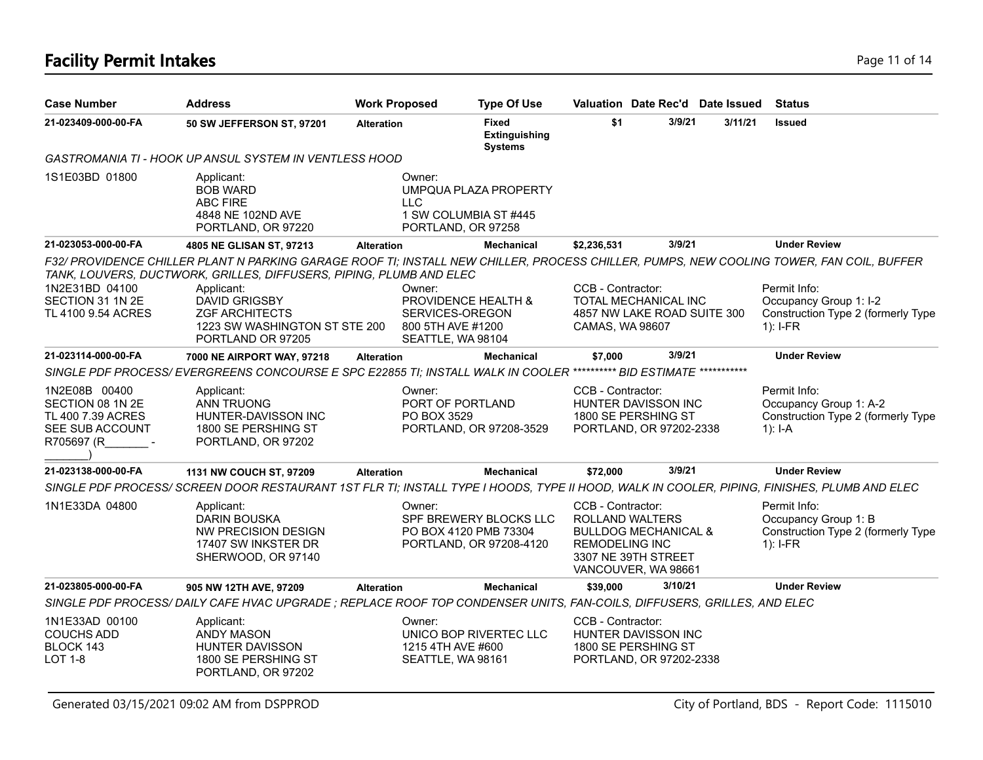## **Facility Permit Intakes** Page 11 of 14

| <b>Case Number</b>                                                                      | <b>Address</b>                                                                                                                              | <b>Work Proposed</b>                                                | <b>Type Of Use</b>                                                         |                                                                                                                                                | Valuation Date Rec'd Date Issued | <b>Status</b>                                                                                                                            |
|-----------------------------------------------------------------------------------------|---------------------------------------------------------------------------------------------------------------------------------------------|---------------------------------------------------------------------|----------------------------------------------------------------------------|------------------------------------------------------------------------------------------------------------------------------------------------|----------------------------------|------------------------------------------------------------------------------------------------------------------------------------------|
| 21-023409-000-00-FA                                                                     | 50 SW JEFFERSON ST, 97201                                                                                                                   | <b>Alteration</b>                                                   | Fixed<br><b>Extinguishing</b><br><b>Systems</b>                            | \$1                                                                                                                                            | 3/9/21<br>3/11/21                | <b>Issued</b>                                                                                                                            |
|                                                                                         | GASTROMANIA TI - HOOK UP ANSUL SYSTEM IN VENTLESS HOOD                                                                                      |                                                                     |                                                                            |                                                                                                                                                |                                  |                                                                                                                                          |
| 1S1E03BD 01800                                                                          | Applicant:<br><b>BOB WARD</b><br><b>ABC FIRE</b><br>4848 NE 102ND AVE<br>PORTLAND, OR 97220                                                 | Owner:<br><b>LLC</b><br>PORTLAND, OR 97258                          | UMPQUA PLAZA PROPERTY<br>1 SW COLUMBIA ST #445                             |                                                                                                                                                |                                  |                                                                                                                                          |
| 21-023053-000-00-FA                                                                     | 4805 NE GLISAN ST, 97213                                                                                                                    | <b>Alteration</b>                                                   | <b>Mechanical</b>                                                          | \$2,236,531                                                                                                                                    | 3/9/21                           | <b>Under Review</b>                                                                                                                      |
|                                                                                         | TANK, LOUVERS, DUCTWORK, GRILLES, DIFFUSERS, PIPING, PLUMB AND ELEC                                                                         |                                                                     |                                                                            |                                                                                                                                                |                                  | F32/ PROVIDENCE CHILLER PLANT N PARKING GARAGE ROOF TI; INSTALL NEW CHILLER, PROCESS CHILLER, PUMPS, NEW COOLING TOWER, FAN COIL, BUFFER |
| 1N2E31BD 04100<br>SECTION 31 1N 2E<br>TL 4100 9.54 ACRES                                | Applicant:<br><b>DAVID GRIGSBY</b><br><b>ZGF ARCHITECTS</b><br>1223 SW WASHINGTON ST STE 200<br>PORTLAND OR 97205                           | Owner:<br>SERVICES-OREGON<br>800 5TH AVE #1200<br>SEATTLE, WA 98104 | PROVIDENCE HEALTH &                                                        | CCB - Contractor:<br>TOTAL MECHANICAL INC<br>CAMAS, WA 98607                                                                                   | 4857 NW LAKE ROAD SUITE 300      | Permit Info:<br>Occupancy Group 1: I-2<br>Construction Type 2 (formerly Type<br>$1$ : I-FR                                               |
| 21-023114-000-00-FA                                                                     | 7000 NE AIRPORT WAY, 97218                                                                                                                  | <b>Alteration</b>                                                   | <b>Mechanical</b>                                                          | \$7,000                                                                                                                                        | 3/9/21                           | <b>Under Review</b>                                                                                                                      |
|                                                                                         | SINGLE PDF PROCESS/ EVERGREENS CONCOURSE E SPC E22855 TI; INSTALL WALK IN COOLER ********** BID ESTIMATE ***********                        |                                                                     |                                                                            |                                                                                                                                                |                                  |                                                                                                                                          |
| 1N2E08B 00400<br>SECTION 08 1N 2E<br>TL 400 7.39 ACRES<br>SEE SUB ACCOUNT<br>R705697 (R | Applicant:<br><b>ANN TRUONG</b><br>HUNTER-DAVISSON INC<br>1800 SE PERSHING ST<br>PORTLAND, OR 97202                                         | Owner:<br>PORT OF PORTLAND<br>PO BOX 3529                           | PORTLAND, OR 97208-3529                                                    | CCB - Contractor:<br>HUNTER DAVISSON INC<br>1800 SE PERSHING ST                                                                                | PORTLAND, OR 97202-2338          | Permit Info:<br>Occupancy Group 1: A-2<br>Construction Type 2 (formerly Type<br>$1$ : I-A                                                |
| 21-023138-000-00-FA                                                                     | 1131 NW COUCH ST, 97209                                                                                                                     | <b>Alteration</b>                                                   | Mechanical                                                                 | \$72,000                                                                                                                                       | 3/9/21                           | <b>Under Review</b>                                                                                                                      |
|                                                                                         | SINGLE PDF PROCESS/ SCREEN DOOR RESTAURANT 1ST FLR TI; INSTALL TYPE I HOODS, TYPE II HOOD, WALK IN COOLER, PIPING, FINISHES, PLUMB AND ELEC |                                                                     |                                                                            |                                                                                                                                                |                                  |                                                                                                                                          |
| 1N1E33DA 04800                                                                          | Applicant:<br><b>DARIN BOUSKA</b><br>NW PRECISION DESIGN<br>17407 SW INKSTER DR<br>SHERWOOD, OR 97140                                       | Owner:                                                              | SPF BREWERY BLOCKS LLC<br>PO BOX 4120 PMB 73304<br>PORTLAND, OR 97208-4120 | CCB - Contractor:<br>ROLLAND WALTERS<br><b>BULLDOG MECHANICAL &amp;</b><br><b>REMODELING INC</b><br>3307 NE 39TH STREET<br>VANCOUVER, WA 98661 |                                  | Permit Info:<br>Occupancy Group 1: B<br>Construction Type 2 (formerly Type<br>1): $I-FR$                                                 |
| 21-023805-000-00-FA                                                                     | 905 NW 12TH AVE, 97209                                                                                                                      | <b>Alteration</b>                                                   | <b>Mechanical</b>                                                          | \$39,000                                                                                                                                       | 3/10/21                          | <b>Under Review</b>                                                                                                                      |
|                                                                                         | SINGLE PDF PROCESS/DAILY CAFE HVAC UPGRADE; REPLACE ROOF TOP CONDENSER UNITS, FAN-COILS, DIFFUSERS, GRILLES, AND ELEC                       |                                                                     |                                                                            |                                                                                                                                                |                                  |                                                                                                                                          |
| 1N1E33AD 00100<br><b>COUCHS ADD</b><br>BLOCK 143<br>LOT 1-8                             | Applicant:<br><b>ANDY MASON</b><br>HUNTER DAVISSON<br>1800 SE PERSHING ST<br>PORTLAND, OR 97202                                             | Owner:<br>1215 4TH AVE #600<br>SEATTLE, WA 98161                    | UNICO BOP RIVERTEC LLC                                                     | CCB - Contractor:<br>HUNTER DAVISSON INC<br>1800 SE PERSHING ST                                                                                | PORTLAND, OR 97202-2338          |                                                                                                                                          |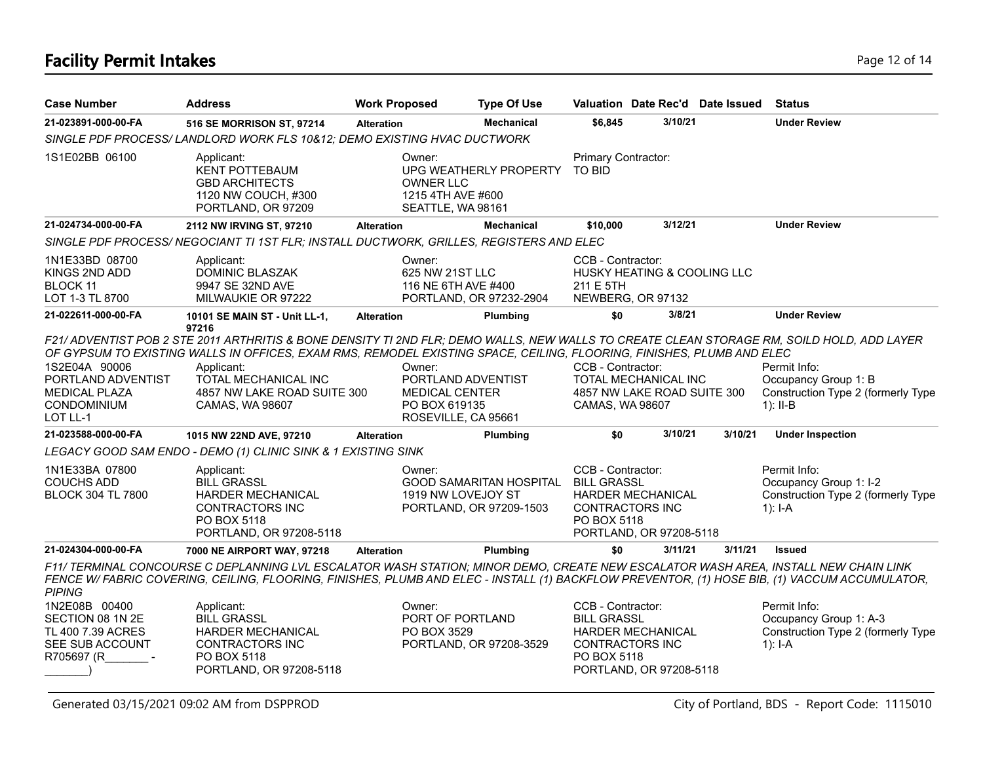## **Facility Permit Intakes** Page 12 of 14

| <b>Case Number</b>                                                                      | <b>Address</b>                                                                                                                                                                                                                                                                                                                                              | <b>Work Proposed</b> |                                                                                               | <b>Type Of Use</b>                                        | Valuation Date Rec'd Date Issued                                                                                                        |         |         | <b>Status</b>                                                                             |
|-----------------------------------------------------------------------------------------|-------------------------------------------------------------------------------------------------------------------------------------------------------------------------------------------------------------------------------------------------------------------------------------------------------------------------------------------------------------|----------------------|-----------------------------------------------------------------------------------------------|-----------------------------------------------------------|-----------------------------------------------------------------------------------------------------------------------------------------|---------|---------|-------------------------------------------------------------------------------------------|
| 21-023891-000-00-FA                                                                     | 516 SE MORRISON ST, 97214                                                                                                                                                                                                                                                                                                                                   | <b>Alteration</b>    |                                                                                               | <b>Mechanical</b>                                         | \$6,845                                                                                                                                 | 3/10/21 |         | <b>Under Review</b>                                                                       |
|                                                                                         | SINGLE PDF PROCESS/ LANDLORD WORK FLS 10812; DEMO EXISTING HVAC DUCTWORK                                                                                                                                                                                                                                                                                    |                      |                                                                                               |                                                           |                                                                                                                                         |         |         |                                                                                           |
| 1S1E02BB 06100                                                                          | Applicant:<br><b>KENT POTTEBAUM</b><br><b>GBD ARCHITECTS</b><br>1120 NW COUCH, #300<br>PORTLAND, OR 97209                                                                                                                                                                                                                                                   |                      | Owner:<br><b>OWNER LLC</b><br>1215 4TH AVE #600<br>SEATTLE, WA 98161                          | UPG WEATHERLY PROPERTY                                    | Primary Contractor:<br><b>TO BID</b>                                                                                                    |         |         |                                                                                           |
| 21-024734-000-00-FA                                                                     | 2112 NW IRVING ST, 97210                                                                                                                                                                                                                                                                                                                                    | <b>Alteration</b>    |                                                                                               | <b>Mechanical</b>                                         | \$10,000                                                                                                                                | 3/12/21 |         | <b>Under Review</b>                                                                       |
|                                                                                         | SINGLE PDF PROCESS/ NEGOCIANT TI 1ST FLR; INSTALL DUCTWORK, GRILLES, REGISTERS AND ELEC                                                                                                                                                                                                                                                                     |                      |                                                                                               |                                                           |                                                                                                                                         |         |         |                                                                                           |
| 1N1E33BD 08700<br>KINGS 2ND ADD<br>BLOCK 11<br>LOT 1-3 TL 8700                          | Applicant:<br>DOMINIC BLASZAK<br>9947 SE 32ND AVE<br>MILWAUKIE OR 97222                                                                                                                                                                                                                                                                                     |                      | Owner:<br>625 NW 21ST LLC<br>116 NE 6TH AVE #400                                              | PORTLAND, OR 97232-2904                                   | CCB - Contractor:<br>HUSKY HEATING & COOLING LLC<br>211 E 5TH<br>NEWBERG, OR 97132                                                      |         |         |                                                                                           |
| 21-022611-000-00-FA                                                                     | 10101 SE MAIN ST - Unit LL-1,                                                                                                                                                                                                                                                                                                                               | <b>Alteration</b>    |                                                                                               | Plumbing                                                  | \$0                                                                                                                                     | 3/8/21  |         | <b>Under Review</b>                                                                       |
| 1S2E04A 90006<br>PORTLAND ADVENTIST<br><b>MEDICAL PLAZA</b><br>CONDOMINIUM<br>LOT LL-1  | F21/ ADVENTIST POB 2 STE 2011 ARTHRITIS & BONE DENSITY TI 2ND FLR; DEMO WALLS, NEW WALLS TO CREATE CLEAN STORAGE RM, SOILD HOLD, ADD LAYER<br>OF GYPSUM TO EXISTING WALLS IN OFFICES, EXAM RMS, REMODEL EXISTING SPACE, CEILING, FLOORING, FINISHES, PLUMB AND ELEC<br>Applicant:<br>TOTAL MECHANICAL INC<br>4857 NW LAKE ROAD SUITE 300<br>CAMAS, WA 98607 |                      | Owner:<br>PORTLAND ADVENTIST<br><b>MEDICAL CENTER</b><br>PO BOX 619135<br>ROSEVILLE, CA 95661 |                                                           | CCB - Contractor:<br>TOTAL MECHANICAL INC<br>4857 NW LAKE ROAD SUITE 300<br>CAMAS, WA 98607                                             |         |         | Permit Info:<br>Occupancy Group 1: B<br>Construction Type 2 (formerly Type<br>$1$ : II-B  |
| 21-023588-000-00-FA                                                                     | 1015 NW 22ND AVE, 97210                                                                                                                                                                                                                                                                                                                                     | <b>Alteration</b>    |                                                                                               | Plumbing                                                  | \$0                                                                                                                                     | 3/10/21 | 3/10/21 | <b>Under Inspection</b>                                                                   |
|                                                                                         | LEGACY GOOD SAM ENDO - DEMO (1) CLINIC SINK & 1 EXISTING SINK                                                                                                                                                                                                                                                                                               |                      |                                                                                               |                                                           |                                                                                                                                         |         |         |                                                                                           |
| 1N1E33BA 07800<br><b>COUCHS ADD</b><br><b>BLOCK 304 TL 7800</b>                         | Applicant:<br><b>BILL GRASSL</b><br>HARDER MECHANICAL<br>CONTRACTORS INC<br>PO BOX 5118<br>PORTLAND, OR 97208-5118                                                                                                                                                                                                                                          |                      | Owner:<br>1919 NW LOVEJOY ST                                                                  | <b>GOOD SAMARITAN HOSPITAL</b><br>PORTLAND, OR 97209-1503 | CCB - Contractor:<br><b>BILL GRASSL</b><br><b>HARDER MECHANICAL</b><br><b>CONTRACTORS INC</b><br>PO BOX 5118<br>PORTLAND, OR 97208-5118 |         |         | Permit Info:<br>Occupancy Group 1: I-2<br>Construction Type 2 (formerly Type<br>$1$ : I-A |
| 21-024304-000-00-FA                                                                     | 7000 NE AIRPORT WAY, 97218                                                                                                                                                                                                                                                                                                                                  | <b>Alteration</b>    |                                                                                               | Plumbing                                                  | \$0                                                                                                                                     | 3/11/21 | 3/11/21 | <b>Issued</b>                                                                             |
| <b>PIPING</b>                                                                           | F11/ TERMINAL CONCOURSE C DEPLANNING LVL ESCALATOR WASH STATION; MINOR DEMO, CREATE NEW ESCALATOR WASH AREA, INSTALL NEW CHAIN LINK<br>FENCE W/FABRIC COVERING, CEILING, FLOORING, FINISHES, PLUMB AND ELEC - INSTALL (1) BACKFLOW PREVENTOR, (1) HOSE BIB, (1) VACCUM ACCUMULATOR,                                                                         |                      |                                                                                               |                                                           |                                                                                                                                         |         |         |                                                                                           |
| 1N2E08B 00400<br>SECTION 08 1N 2E<br>TL 400 7.39 ACRES<br>SEE SUB ACCOUNT<br>R705697 (R | Applicant:<br><b>BILL GRASSL</b><br>HARDER MECHANICAL<br>CONTRACTORS INC<br>PO BOX 5118<br>PORTLAND, OR 97208-5118                                                                                                                                                                                                                                          |                      | Owner:<br>PORT OF PORTLAND<br>PO BOX 3529                                                     | PORTLAND, OR 97208-3529                                   | CCB - Contractor:<br><b>BILL GRASSL</b><br>HARDER MECHANICAL<br><b>CONTRACTORS INC</b><br>PO BOX 5118<br>PORTLAND, OR 97208-5118        |         |         | Permit Info:<br>Occupancy Group 1: A-3<br>Construction Type 2 (formerly Type<br>1): I-A   |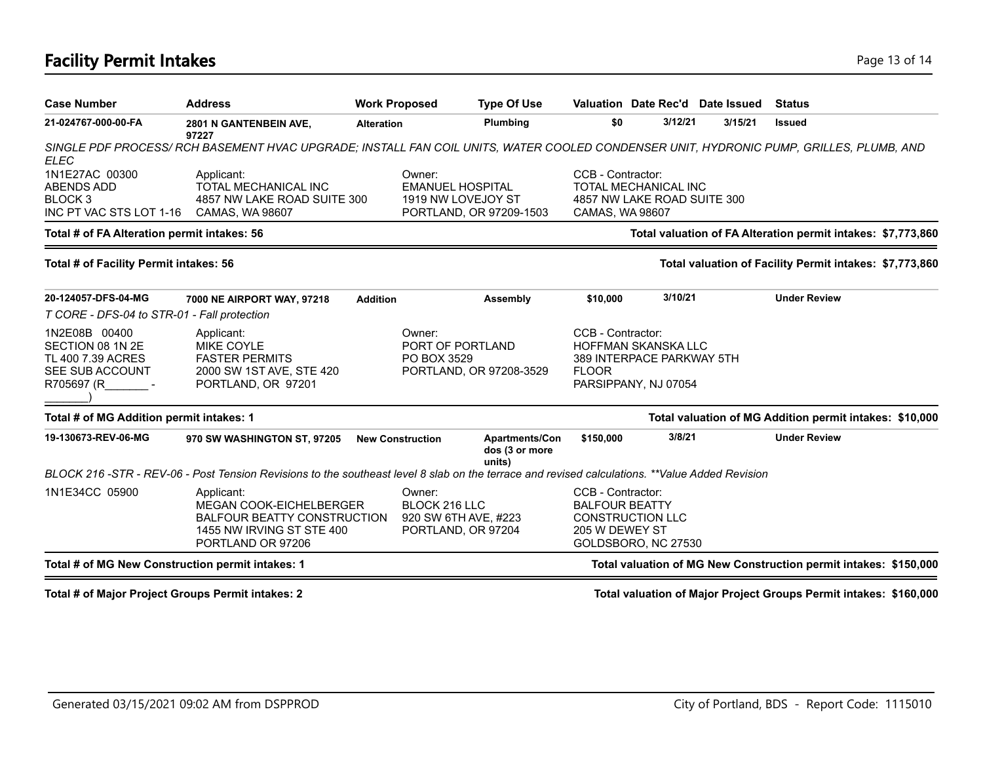### **Facility Permit Intakes** Page 13 of 14

| <b>Case Number</b>                                                                      | <b>Address</b>                                                                                                                                | <b>Work Proposed</b> |                                                                                    | <b>Type Of Use</b>                                               |                                                                                                    |                                                                                 | Valuation Date Rec'd Date Issued | <b>Status</b>                                                |  |
|-----------------------------------------------------------------------------------------|-----------------------------------------------------------------------------------------------------------------------------------------------|----------------------|------------------------------------------------------------------------------------|------------------------------------------------------------------|----------------------------------------------------------------------------------------------------|---------------------------------------------------------------------------------|----------------------------------|--------------------------------------------------------------|--|
| 21-024767-000-00-FA                                                                     | 2801 N GANTENBEIN AVE,<br>97227                                                                                                               | <b>Alteration</b>    |                                                                                    | Plumbing                                                         | \$0                                                                                                | 3/12/21                                                                         | 3/15/21                          | <b>Issued</b>                                                |  |
| ELEC                                                                                    | SINGLE PDF PROCESS/ RCH BASEMENT HVAC UPGRADE; INSTALL FAN COIL UNITS, WATER COOLED CONDENSER UNIT, HYDRONIC PUMP, GRILLES, PLUMB, AND        |                      |                                                                                    |                                                                  |                                                                                                    |                                                                                 |                                  |                                                              |  |
| 1N1E27AC 00300<br>ABENDS ADD<br>BLOCK 3<br>INC PT VAC STS LOT 1-16                      | Applicant:<br><b>TOTAL MECHANICAL INC</b><br>4857 NW LAKE ROAD SUITE 300<br>CAMAS, WA 98607                                                   |                      | Owner:<br><b>EMANUEL HOSPITAL</b><br>1919 NW LOVEJOY ST<br>PORTLAND, OR 97209-1503 |                                                                  | CCB - Contractor:<br><b>TOTAL MECHANICAL INC</b><br>4857 NW LAKE ROAD SUITE 300<br>CAMAS, WA 98607 |                                                                                 |                                  |                                                              |  |
| Total # of FA Alteration permit intakes: 56                                             |                                                                                                                                               |                      |                                                                                    |                                                                  |                                                                                                    |                                                                                 |                                  | Total valuation of FA Alteration permit intakes: \$7,773,860 |  |
| Total # of Facility Permit intakes: 56                                                  |                                                                                                                                               |                      |                                                                                    |                                                                  |                                                                                                    |                                                                                 |                                  | Total valuation of Facility Permit intakes: \$7,773,860      |  |
| 20-124057-DFS-04-MG                                                                     | 7000 NE AIRPORT WAY, 97218                                                                                                                    | <b>Addition</b>      |                                                                                    | Assembly                                                         | \$10,000                                                                                           | 3/10/21                                                                         |                                  | <b>Under Review</b>                                          |  |
| T CORE - DFS-04 to STR-01 - Fall protection                                             |                                                                                                                                               |                      |                                                                                    |                                                                  |                                                                                                    |                                                                                 |                                  |                                                              |  |
| 1N2E08B 00400<br>SECTION 08 1N 2E<br>TL 400 7.39 ACRES<br>SEE SUB ACCOUNT<br>R705697 (R | Applicant:<br><b>MIKE COYLE</b><br><b>FASTER PERMITS</b><br>2000 SW 1ST AVE, STE 420<br>PORTLAND, OR 97201                                    |                      | Owner:<br>PORT OF PORTLAND<br>PO BOX 3529                                          | PORTLAND, OR 97208-3529                                          | CCB - Contractor:<br><b>FLOOR</b>                                                                  | <b>HOFFMAN SKANSKA LLC</b><br>389 INTERPACE PARKWAY 5TH<br>PARSIPPANY, NJ 07054 |                                  |                                                              |  |
| Total # of MG Addition permit intakes: 1                                                |                                                                                                                                               |                      |                                                                                    |                                                                  |                                                                                                    |                                                                                 |                                  | Total valuation of MG Addition permit intakes: \$10,000      |  |
| 19-130673-REV-06-MG                                                                     | 970 SW WASHINGTON ST, 97205                                                                                                                   |                      | <b>New Construction</b>                                                            | Apartments/Con<br>dos (3 or more<br>units)                       | \$150,000                                                                                          | 3/8/21                                                                          |                                  | <b>Under Review</b>                                          |  |
|                                                                                         | BLOCK 216-STR - REV-06 - Post Tension Revisions to the southeast level 8 slab on the terrace and revised calculations. **Value Added Revision |                      |                                                                                    |                                                                  |                                                                                                    |                                                                                 |                                  |                                                              |  |
| 1N1E34CC 05900                                                                          | Applicant:<br><b>MEGAN COOK-EICHELBERGER</b><br><b>BALFOUR BEATTY CONSTRUCTION</b><br>1455 NW IRVING ST STE 400<br>PORTLAND OR 97206          |                      | Owner:<br>BLOCK 216 LLC<br>920 SW 6TH AVE, #223<br>PORTLAND, OR 97204              |                                                                  | CCB - Contractor:<br><b>BALFOUR BEATTY</b><br>205 W DEWEY ST                                       | <b>CONSTRUCTION LLC</b><br>GOLDSBORO, NC 27530                                  |                                  |                                                              |  |
| Total # of MG New Construction permit intakes: 1                                        |                                                                                                                                               |                      |                                                                                    | Total valuation of MG New Construction permit intakes: \$150,000 |                                                                                                    |                                                                                 |                                  |                                                              |  |

**Total # of Major Project Groups Permit intakes: 2 Total valuation of Major Project Groups Permit intakes: \$160,000**